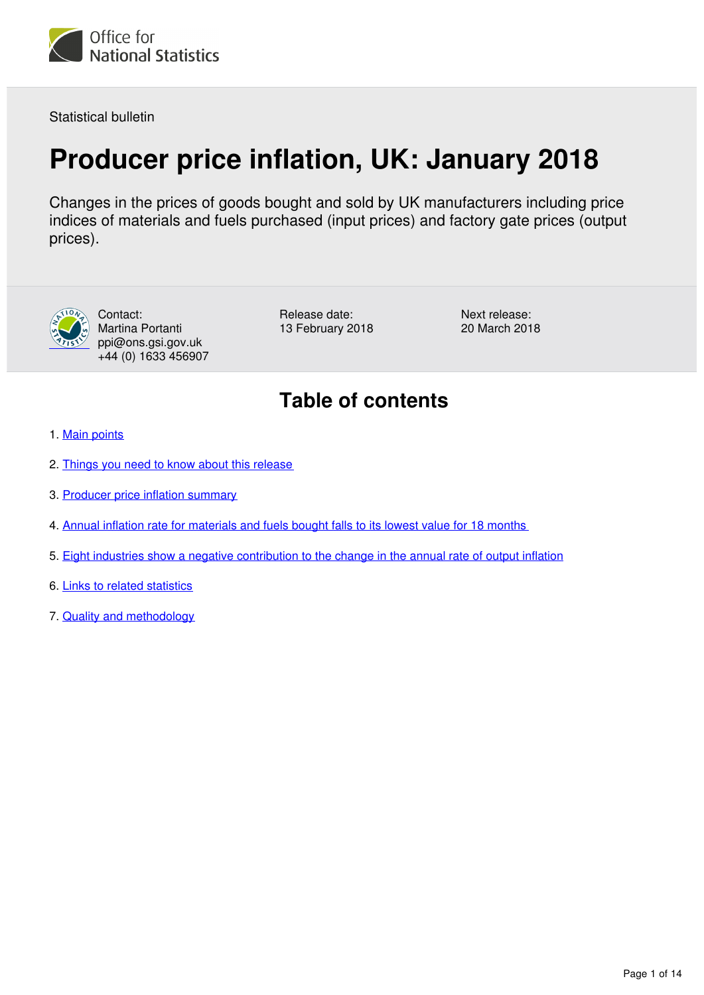

Statistical bulletin

## **Producer price inflation, UK: January 2018**

Changes in the prices of goods bought and sold by UK manufacturers including price indices of materials and fuels purchased (input prices) and factory gate prices (output prices).



Contact: Martina Portanti ppi@ons.gsi.gov.uk +44 (0) 1633 456907

Release date: 13 February 2018 Next release: 20 March 2018

## **Table of contents**

- 1. [Main points](#page-1-0)
- 2. [Things you need to know about this release](#page-1-1)
- 3. [Producer price inflation summary](#page-2-0)
- 4. [Annual inflation rate for materials and fuels bought falls to its lowest value for 18 months](#page-2-1)
- 5. [Eight industries show a negative contribution to the change in the annual rate of output inflation](#page-7-0)
- 6. [Links to related statistics](#page-12-0)
- 7. [Quality and methodology](#page-12-1)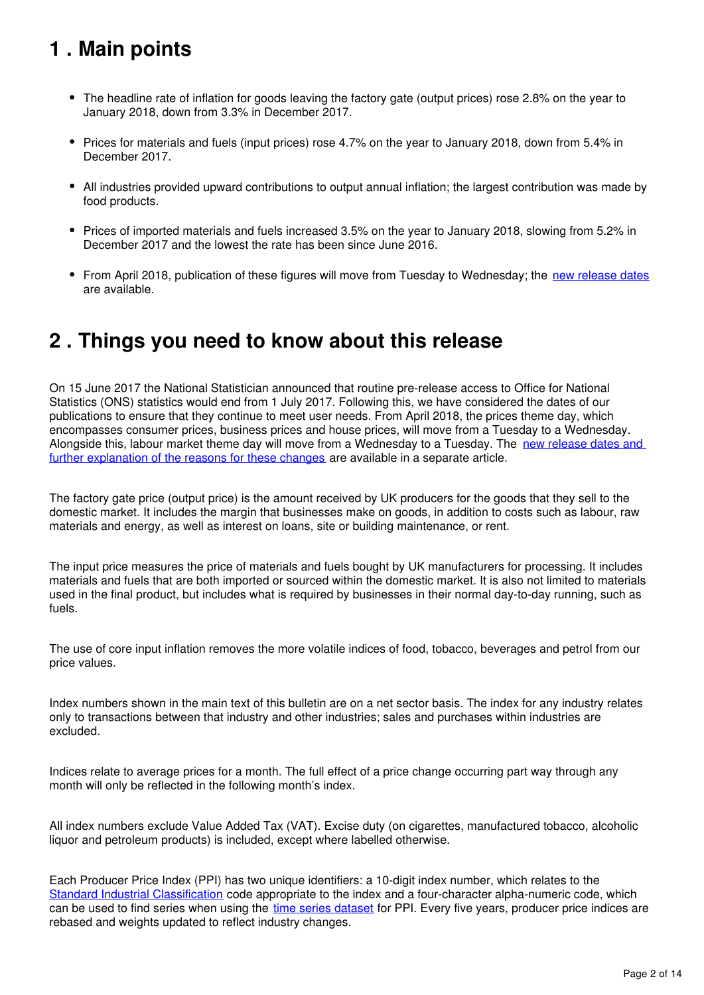## <span id="page-1-0"></span>**1 . Main points**

- The headline rate of inflation for goods leaving the factory gate (output prices) rose 2.8% on the year to January 2018, down from 3.3% in December 2017.
- Prices for materials and fuels (input prices) rose 4.7% on the year to January 2018, down from 5.4% in December 2017.
- All industries provided upward contributions to output annual inflation; the largest contribution was made by food products.
- Prices of imported materials and fuels increased 3.5% on the year to January 2018, slowing from 5.2% in December 2017 and the lowest the rate has been since June 2016.
- From April 2018, publication of these figures will move from Tuesday to Wednesday; the [new release dates](https://www.ons.gov.uk/news/statementsandletters/changestoonsreleasetimetable) are available.

#### <span id="page-1-1"></span>**2 . Things you need to know about this release**

On 15 June 2017 the National Statistician announced that routine pre-release access to Office for National Statistics (ONS) statistics would end from 1 July 2017. Following this, we have considered the dates of our publications to ensure that they continue to meet user needs. From April 2018, the prices theme day, which encompasses consumer prices, business prices and house prices, will move from a Tuesday to a Wednesday. Alongside this, labour market theme day will move from a Wednesday to a Tuesday. The new release dates and [further explanation of the reasons for these changes](https://www.ons.gov.uk/news/statementsandletters/changestoonsreleasetimetable) are available in a separate article.

The factory gate price (output price) is the amount received by UK producers for the goods that they sell to the domestic market. It includes the margin that businesses make on goods, in addition to costs such as labour, raw materials and energy, as well as interest on loans, site or building maintenance, or rent.

The input price measures the price of materials and fuels bought by UK manufacturers for processing. It includes materials and fuels that are both imported or sourced within the domestic market. It is also not limited to materials used in the final product, but includes what is required by businesses in their normal day-to-day running, such as fuels.

The use of core input inflation removes the more volatile indices of food, tobacco, beverages and petrol from our price values.

Index numbers shown in the main text of this bulletin are on a net sector basis. The index for any industry relates only to transactions between that industry and other industries; sales and purchases within industries are excluded.

Indices relate to average prices for a month. The full effect of a price change occurring part way through any month will only be reflected in the following month's index.

All index numbers exclude Value Added Tax (VAT). Excise duty (on cigarettes, manufactured tobacco, alcoholic liquor and petroleum products) is included, except where labelled otherwise.

Each Producer Price Index (PPI) has two unique identifiers: a 10-digit index number, which relates to the [Standard Industrial Classification](http://www.ons.gov.uk/methodology/classificationsandstandards/ukstandardindustrialclassificationofeconomicactivities/uksic2007) code appropriate to the index and a four-character alpha-numeric code, which can be used to find series when using the [time series dataset](https://www.ons.gov.uk/economy/inflationandpriceindices/datasets/producerpriceindexstatisticalbulletindataset) for PPI. Every five years, producer price indices are rebased and weights updated to reflect industry changes.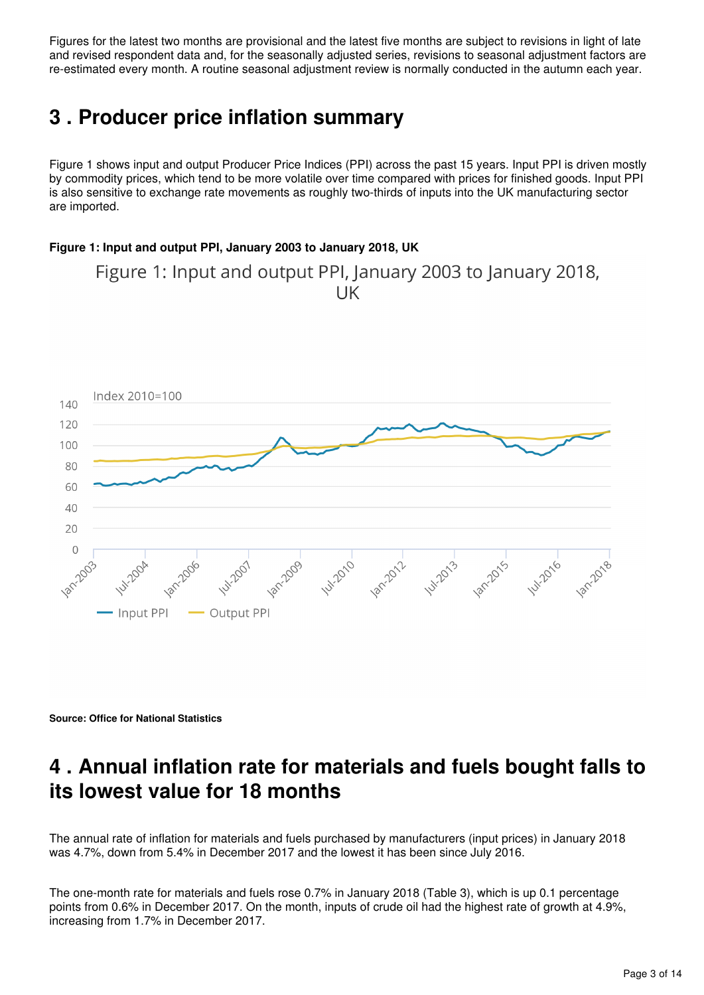Figures for the latest two months are provisional and the latest five months are subject to revisions in light of late and revised respondent data and, for the seasonally adjusted series, revisions to seasonal adjustment factors are re-estimated every month. A routine seasonal adjustment review is normally conducted in the autumn each year.

## <span id="page-2-0"></span>**3 . Producer price inflation summary**

Figure 1 shows input and output Producer Price Indices (PPI) across the past 15 years. Input PPI is driven mostly by commodity prices, which tend to be more volatile over time compared with prices for finished goods. Input PPI is also sensitive to exchange rate movements as roughly two-thirds of inputs into the UK manufacturing sector are imported.

#### **Figure 1: Input and output PPI, January 2003 to January 2018, UK**

Figure 1: Input and output PPI, January 2003 to January 2018, **IIK** 



**Source: Office for National Statistics**

### <span id="page-2-1"></span>**4 . Annual inflation rate for materials and fuels bought falls to its lowest value for 18 months**

The annual rate of inflation for materials and fuels purchased by manufacturers (input prices) in January 2018 was 4.7%, down from 5.4% in December 2017 and the lowest it has been since July 2016.

The one-month rate for materials and fuels rose 0.7% in January 2018 (Table 3), which is up 0.1 percentage points from 0.6% in December 2017. On the month, inputs of crude oil had the highest rate of growth at 4.9%, increasing from 1.7% in December 2017.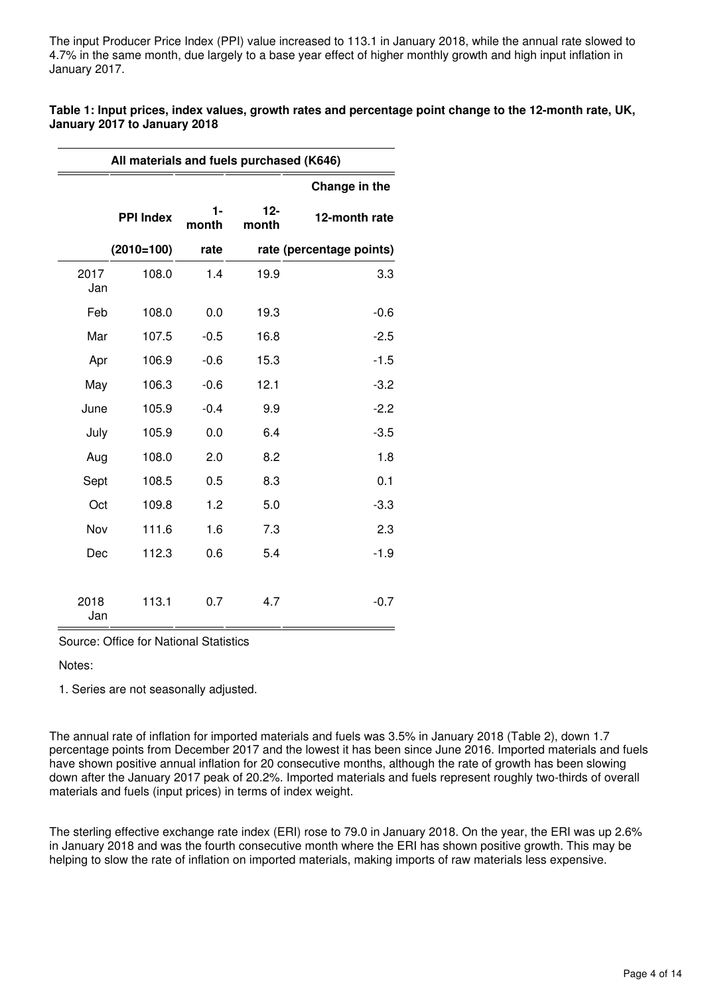The input Producer Price Index (PPI) value increased to 113.1 in January 2018, while the annual rate slowed to 4.7% in the same month, due largely to a base year effect of higher monthly growth and high input inflation in January 2017.

|                              | Table 1: Input prices, index values, growth rates and percentage point change to the 12-month rate, UK, |
|------------------------------|---------------------------------------------------------------------------------------------------------|
| January 2017 to January 2018 |                                                                                                         |

|             | All materials and fuels purchased (K646) |             |                 |                          |  |  |  |  |  |  |  |
|-------------|------------------------------------------|-------------|-----------------|--------------------------|--|--|--|--|--|--|--|
|             |                                          |             |                 | Change in the            |  |  |  |  |  |  |  |
|             | <b>PPI Index</b>                         | 1-<br>month | $12 -$<br>month | 12-month rate            |  |  |  |  |  |  |  |
|             | $(2010=100)$                             | rate        |                 | rate (percentage points) |  |  |  |  |  |  |  |
| 2017<br>Jan | 108.0                                    | 1.4         | 19.9            | 3.3                      |  |  |  |  |  |  |  |
| Feb         | 108.0                                    | 0.0         | 19.3            | $-0.6$                   |  |  |  |  |  |  |  |
| Mar         | 107.5                                    | $-0.5$      | 16.8            | $-2.5$                   |  |  |  |  |  |  |  |
| Apr         | 106.9                                    | $-0.6$      | 15.3            | $-1.5$                   |  |  |  |  |  |  |  |
| May         | 106.3                                    | $-0.6$      | 12.1            | $-3.2$                   |  |  |  |  |  |  |  |
| June        | 105.9                                    | $-0.4$      | 9.9             | $-2.2$                   |  |  |  |  |  |  |  |
| July        | 105.9                                    | 0.0         | 6.4             | $-3.5$                   |  |  |  |  |  |  |  |
| Aug         | 108.0                                    | 2.0         | 8.2             | 1.8                      |  |  |  |  |  |  |  |
| Sept        | 108.5                                    | 0.5         | 8.3             | 0.1                      |  |  |  |  |  |  |  |
| Oct         | 109.8                                    | 1.2         | 5.0             | $-3.3$                   |  |  |  |  |  |  |  |
| Nov         | 111.6                                    | 1.6         | 7.3             | 2.3                      |  |  |  |  |  |  |  |
| Dec         | 112.3                                    | 0.6         | 5.4             | $-1.9$                   |  |  |  |  |  |  |  |
| 2018<br>Jan | 113.1                                    | 0.7         | 4.7             | $-0.7$                   |  |  |  |  |  |  |  |

Source: Office for National Statistics

Notes:

1. Series are not seasonally adjusted.

The annual rate of inflation for imported materials and fuels was 3.5% in January 2018 (Table 2), down 1.7 percentage points from December 2017 and the lowest it has been since June 2016. Imported materials and fuels have shown positive annual inflation for 20 consecutive months, although the rate of growth has been slowing down after the January 2017 peak of 20.2%. Imported materials and fuels represent roughly two-thirds of overall materials and fuels (input prices) in terms of index weight.

The sterling effective exchange rate index (ERI) rose to 79.0 in January 2018. On the year, the ERI was up 2.6% in January 2018 and was the fourth consecutive month where the ERI has shown positive growth. This may be helping to slow the rate of inflation on imported materials, making imports of raw materials less expensive.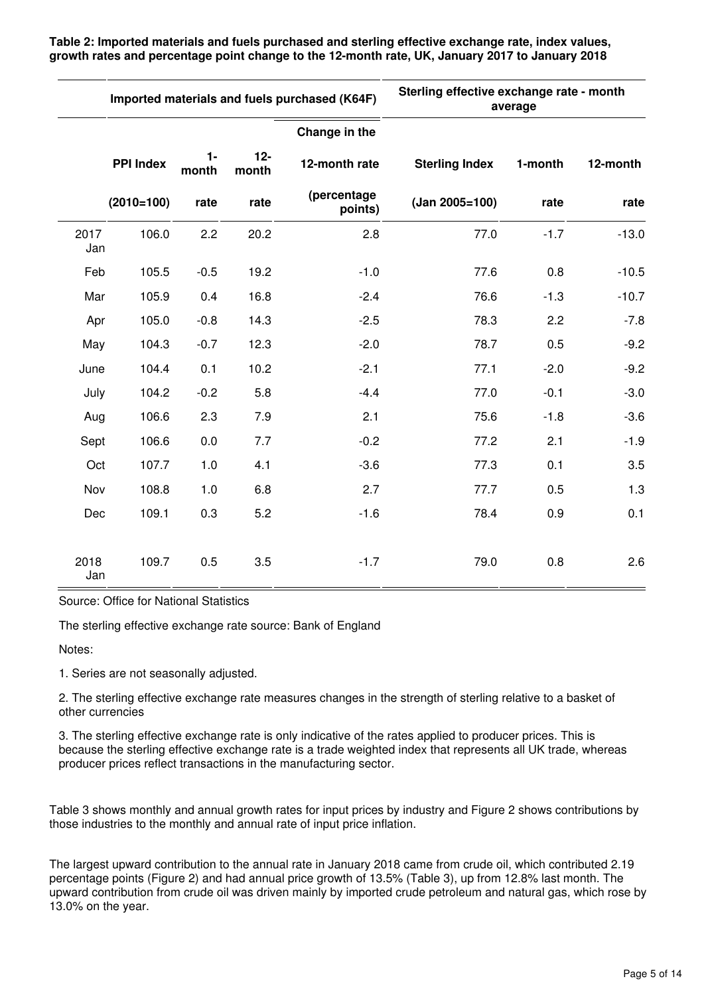**Table 2: Imported materials and fuels purchased and sterling effective exchange rate, index values, growth rates and percentage point change to the 12-month rate, UK, January 2017 to January 2018**

|             | Imported materials and fuels purchased (K64F) |                |                | Sterling effective exchange rate - month<br>average |                       |         |          |  |  |
|-------------|-----------------------------------------------|----------------|----------------|-----------------------------------------------------|-----------------------|---------|----------|--|--|
|             |                                               |                |                | Change in the                                       |                       |         |          |  |  |
|             | <b>PPI Index</b>                              | $1 -$<br>month | $12-$<br>month | 12-month rate                                       | <b>Sterling Index</b> | 1-month | 12-month |  |  |
|             | $(2010=100)$                                  | rate           | rate           | (percentage<br>points)                              | (Jan 2005=100)        | rate    | rate     |  |  |
| 2017<br>Jan | 106.0                                         | 2.2            | 20.2           | 2.8                                                 | 77.0                  | $-1.7$  | $-13.0$  |  |  |
| Feb         | 105.5                                         | $-0.5$         | 19.2           | $-1.0$                                              | 77.6                  | 0.8     | $-10.5$  |  |  |
| Mar         | 105.9                                         | 0.4            | 16.8           | $-2.4$                                              | 76.6                  | $-1.3$  | $-10.7$  |  |  |
| Apr         | 105.0                                         | $-0.8$         | 14.3           | $-2.5$                                              | 78.3                  | 2.2     | $-7.8$   |  |  |
| May         | 104.3                                         | $-0.7$         | 12.3           | $-2.0$                                              | 78.7                  | 0.5     | $-9.2$   |  |  |
| June        | 104.4                                         | 0.1            | 10.2           | $-2.1$                                              | 77.1                  | $-2.0$  | $-9.2$   |  |  |
| July        | 104.2                                         | $-0.2$         | 5.8            | $-4.4$                                              | 77.0                  | $-0.1$  | $-3.0$   |  |  |
| Aug         | 106.6                                         | 2.3            | 7.9            | 2.1                                                 | 75.6                  | $-1.8$  | $-3.6$   |  |  |
| Sept        | 106.6                                         | 0.0            | 7.7            | $-0.2$                                              | 77.2                  | 2.1     | $-1.9$   |  |  |
| Oct         | 107.7                                         | 1.0            | 4.1            | $-3.6$                                              | 77.3                  | 0.1     | 3.5      |  |  |
| Nov         | 108.8                                         | 1.0            | 6.8            | 2.7                                                 | 77.7                  | 0.5     | 1.3      |  |  |
| Dec         | 109.1                                         | 0.3            | 5.2            | $-1.6$                                              | 78.4                  | 0.9     | 0.1      |  |  |
| 2018<br>Jan | 109.7                                         | 0.5            | 3.5            | $-1.7$                                              | 79.0                  | 0.8     | 2.6      |  |  |

Source: Office for National Statistics

The sterling effective exchange rate source: Bank of England

Notes:

1. Series are not seasonally adjusted.

2. The sterling effective exchange rate measures changes in the strength of sterling relative to a basket of other currencies

3. The sterling effective exchange rate is only indicative of the rates applied to producer prices. This is because the sterling effective exchange rate is a trade weighted index that represents all UK trade, whereas producer prices reflect transactions in the manufacturing sector.

Table 3 shows monthly and annual growth rates for input prices by industry and Figure 2 shows contributions by those industries to the monthly and annual rate of input price inflation.

The largest upward contribution to the annual rate in January 2018 came from crude oil, which contributed 2.19 percentage points (Figure 2) and had annual price growth of 13.5% (Table 3), up from 12.8% last month. The upward contribution from crude oil was driven mainly by imported crude petroleum and natural gas, which rose by 13.0% on the year.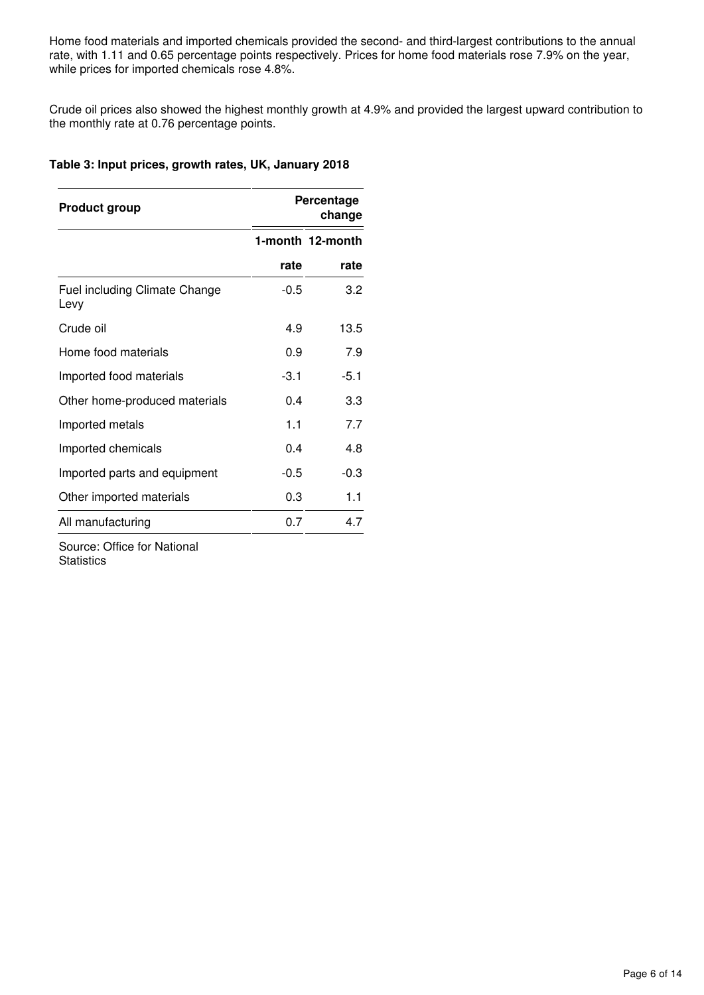Home food materials and imported chemicals provided the second- and third-largest contributions to the annual rate, with 1.11 and 0.65 percentage points respectively. Prices for home food materials rose 7.9% on the year, while prices for imported chemicals rose 4.8%.

Crude oil prices also showed the highest monthly growth at 4.9% and provided the largest upward contribution to the monthly rate at 0.76 percentage points.

#### **Table 3: Input prices, growth rates, UK, January 2018**

| <b>Product group</b>                  |        | Percentage<br>change |
|---------------------------------------|--------|----------------------|
|                                       |        | 1-month 12-month     |
|                                       | rate   | rate                 |
| Fuel including Climate Change<br>Levy | $-0.5$ | 3.2                  |
| Crude oil                             | 4.9    | 13.5                 |
| Home food materials                   | 0.9    | 7.9                  |
| Imported food materials               | $-3.1$ | $-5.1$               |
| Other home-produced materials         | 0.4    | 3.3                  |
| Imported metals                       | 1.1    | 7.7                  |
| Imported chemicals                    | 0.4    | 4.8                  |
| Imported parts and equipment          | $-0.5$ | $-0.3$               |
| Other imported materials              | 0.3    | 1.1                  |
| All manufacturing                     | 0.7    | 4.7                  |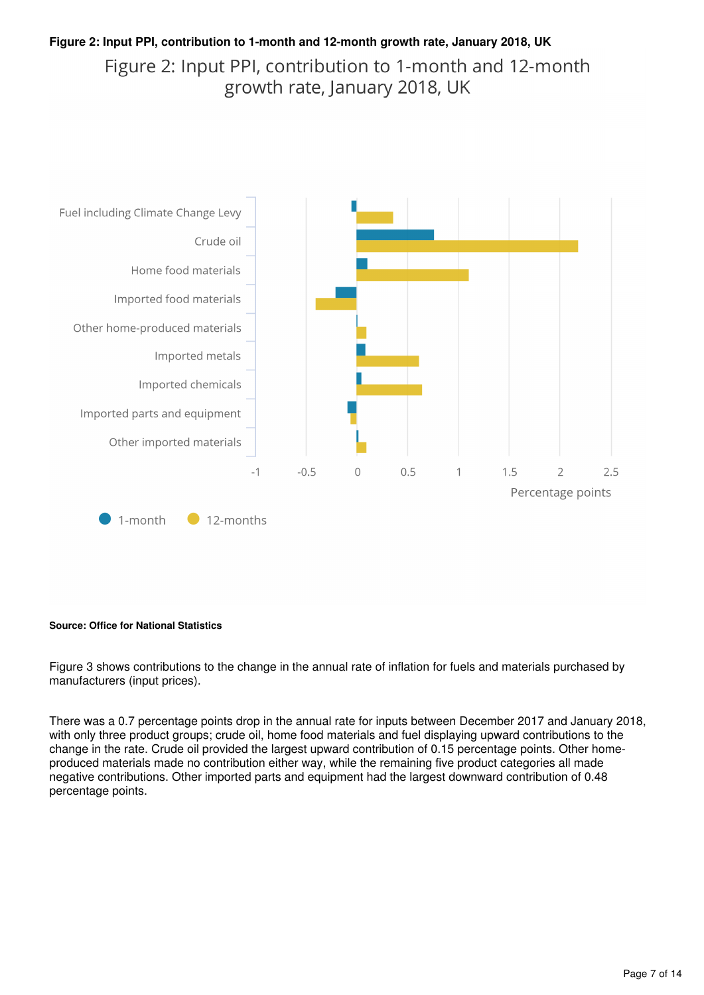#### **Figure 2: Input PPI, contribution to 1-month and 12-month growth rate, January 2018, UK** Figure 2: Input PPI, contribution to 1-month and 12-month growth rate, January 2018, UK



#### **Source: Office for National Statistics**

Figure 3 shows contributions to the change in the annual rate of inflation for fuels and materials purchased by manufacturers (input prices).

There was a 0.7 percentage points drop in the annual rate for inputs between December 2017 and January 2018, with only three product groups; crude oil, home food materials and fuel displaying upward contributions to the change in the rate. Crude oil provided the largest upward contribution of 0.15 percentage points. Other homeproduced materials made no contribution either way, while the remaining five product categories all made negative contributions. Other imported parts and equipment had the largest downward contribution of 0.48 percentage points.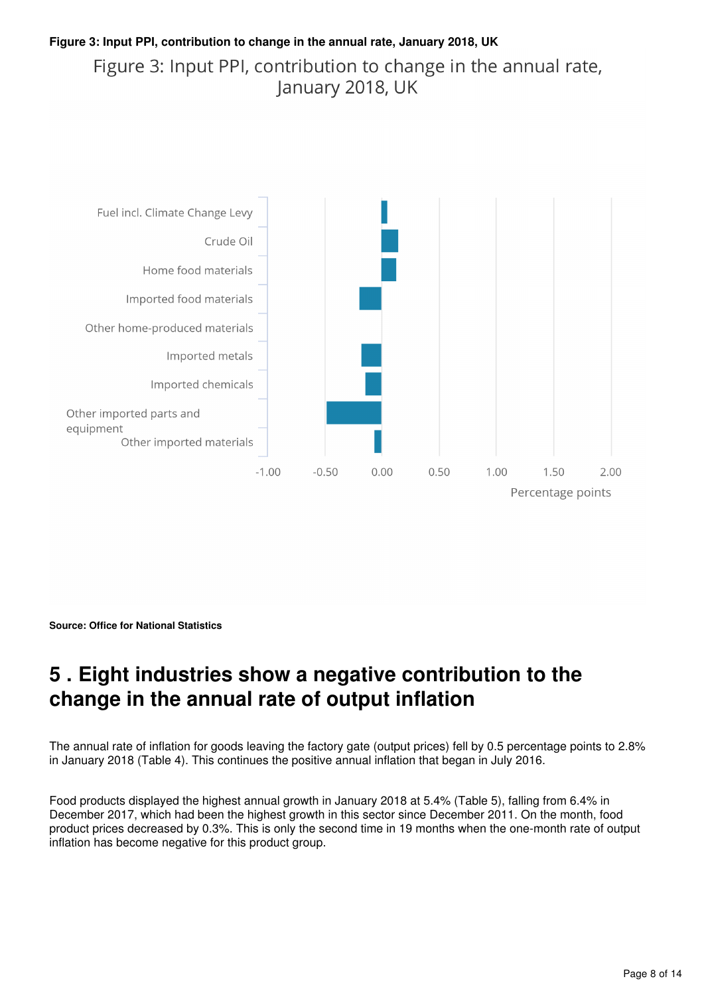#### **Figure 3: Input PPI, contribution to change in the annual rate, January 2018, UK** Figure 3: Input PPI, contribution to change in the annual rate, January 2018, UK



**Source: Office for National Statistics**

## <span id="page-7-0"></span>**5 . Eight industries show a negative contribution to the change in the annual rate of output inflation**

The annual rate of inflation for goods leaving the factory gate (output prices) fell by 0.5 percentage points to 2.8% in January 2018 (Table 4). This continues the positive annual inflation that began in July 2016.

Food products displayed the highest annual growth in January 2018 at 5.4% (Table 5), falling from 6.4% in December 2017, which had been the highest growth in this sector since December 2011. On the month, food product prices decreased by 0.3%. This is only the second time in 19 months when the one-month rate of output inflation has become negative for this product group.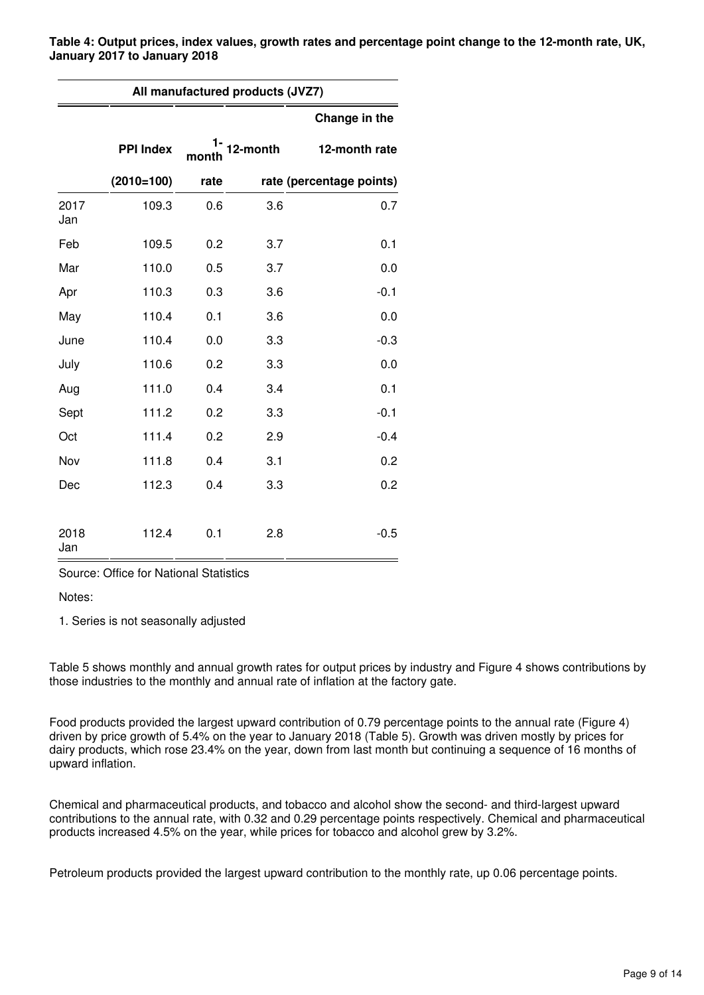**Table 4: Output prices, index values, growth rates and percentage point change to the 12-month rate, UK, January 2017 to January 2018**

| All manufactured products (JVZ7) |                  |       |          |                          |  |  |  |  |  |  |  |
|----------------------------------|------------------|-------|----------|--------------------------|--|--|--|--|--|--|--|
|                                  |                  |       |          | Change in the            |  |  |  |  |  |  |  |
|                                  | <b>PPI Index</b> | month | 12-month | 12-month rate            |  |  |  |  |  |  |  |
|                                  | $(2010=100)$     | rate  |          | rate (percentage points) |  |  |  |  |  |  |  |
| 2017<br>Jan                      | 109.3            | 0.6   | 3.6      | 0.7                      |  |  |  |  |  |  |  |
| Feb                              | 109.5            | 0.2   | 3.7      | 0.1                      |  |  |  |  |  |  |  |
| Mar                              | 110.0            | 0.5   | 3.7      | 0.0                      |  |  |  |  |  |  |  |
| Apr                              | 110.3            | 0.3   | 3.6      | $-0.1$                   |  |  |  |  |  |  |  |
| May                              | 110.4            | 0.1   | 3.6      | 0.0                      |  |  |  |  |  |  |  |
| June                             | 110.4            | 0.0   | 3.3      | $-0.3$                   |  |  |  |  |  |  |  |
| July                             | 110.6            | 0.2   | 3.3      | 0.0                      |  |  |  |  |  |  |  |
| Aug                              | 111.0            | 0.4   | 3.4      | 0.1                      |  |  |  |  |  |  |  |
| Sept                             | 111.2            | 0.2   | 3.3      | $-0.1$                   |  |  |  |  |  |  |  |
| Oct                              | 111.4            | 0.2   | 2.9      | $-0.4$                   |  |  |  |  |  |  |  |
| Nov                              | 111.8            | 0.4   | 3.1      | 0.2                      |  |  |  |  |  |  |  |
| Dec                              | 112.3            | 0.4   | 3.3      | 0.2                      |  |  |  |  |  |  |  |
| 2018<br>Jan                      | 112.4            | 0.1   | 2.8      | $-0.5$                   |  |  |  |  |  |  |  |

Source: Office for National Statistics

Notes:

1. Series is not seasonally adjusted

Table 5 shows monthly and annual growth rates for output prices by industry and Figure 4 shows contributions by those industries to the monthly and annual rate of inflation at the factory gate.

Food products provided the largest upward contribution of 0.79 percentage points to the annual rate (Figure 4) driven by price growth of 5.4% on the year to January 2018 (Table 5). Growth was driven mostly by prices for dairy products, which rose 23.4% on the year, down from last month but continuing a sequence of 16 months of upward inflation.

Chemical and pharmaceutical products, and tobacco and alcohol show the second- and third-largest upward contributions to the annual rate, with 0.32 and 0.29 percentage points respectively. Chemical and pharmaceutical products increased 4.5% on the year, while prices for tobacco and alcohol grew by 3.2%.

Petroleum products provided the largest upward contribution to the monthly rate, up 0.06 percentage points.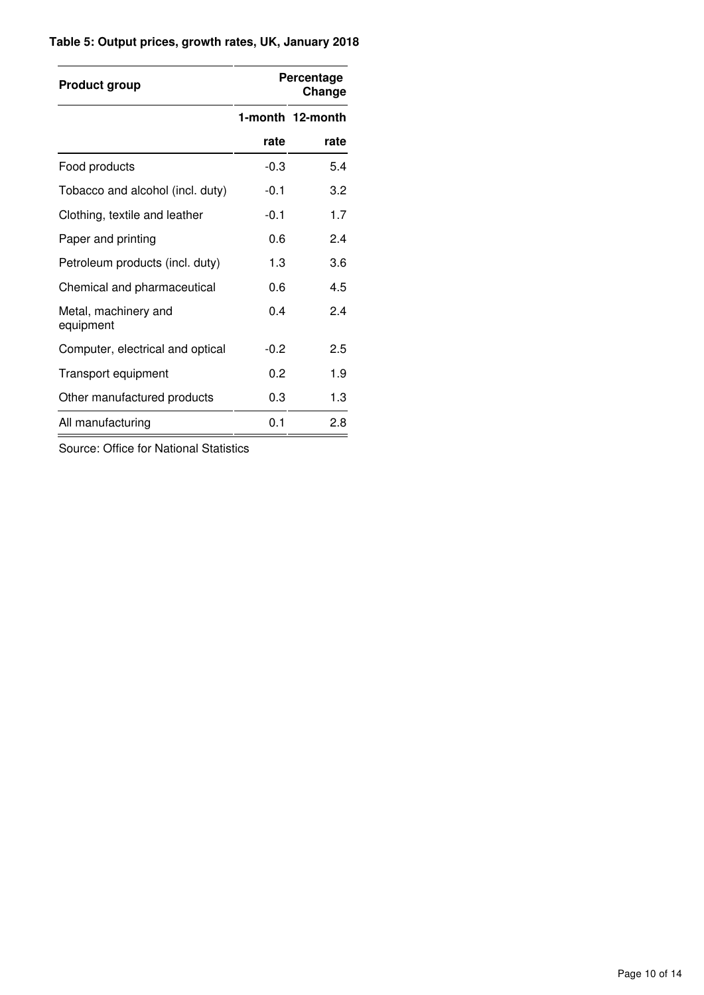#### **Table 5: Output prices, growth rates, UK, January 2018**

| <b>Product group</b>              |        | Percentage<br>Change |
|-----------------------------------|--------|----------------------|
|                                   |        | 1-month 12-month     |
|                                   | rate   | rate                 |
| Food products                     | $-0.3$ | 5.4                  |
| Tobacco and alcohol (incl. duty)  | $-0.1$ | 3.2                  |
| Clothing, textile and leather     | $-0.1$ | 1.7                  |
| Paper and printing                | 0.6    | 2.4                  |
| Petroleum products (incl. duty)   | 1.3    | 3.6                  |
| Chemical and pharmaceutical       | 0.6    | 4.5                  |
| Metal, machinery and<br>equipment | 0.4    | 2.4                  |
| Computer, electrical and optical  | $-0.2$ | 2.5                  |
| Transport equipment               | 0.2    | 1.9                  |
| Other manufactured products       | 0.3    | 1.3                  |
| All manufacturing                 | 0.1    | 2.8                  |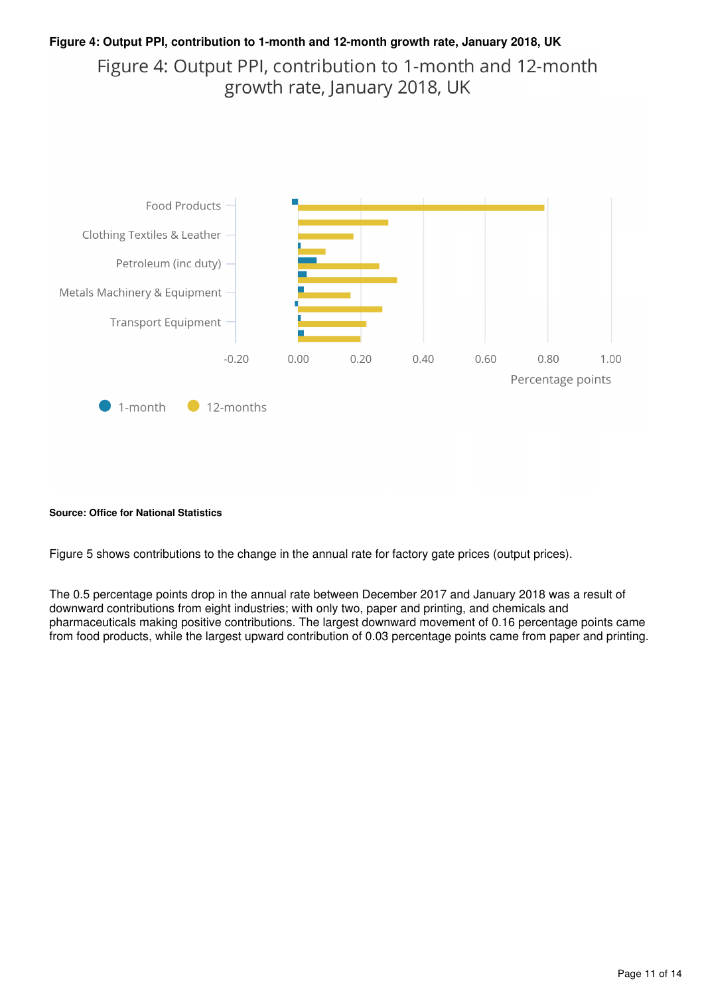#### **Figure 4: Output PPI, contribution to 1-month and 12-month growth rate, January 2018, UK** Figure 4: Output PPI, contribution to 1-month and 12-month growth rate, January 2018, UK



#### **Source: Office for National Statistics**

Figure 5 shows contributions to the change in the annual rate for factory gate prices (output prices).

The 0.5 percentage points drop in the annual rate between December 2017 and January 2018 was a result of downward contributions from eight industries; with only two, paper and printing, and chemicals and pharmaceuticals making positive contributions. The largest downward movement of 0.16 percentage points came from food products, while the largest upward contribution of 0.03 percentage points came from paper and printing.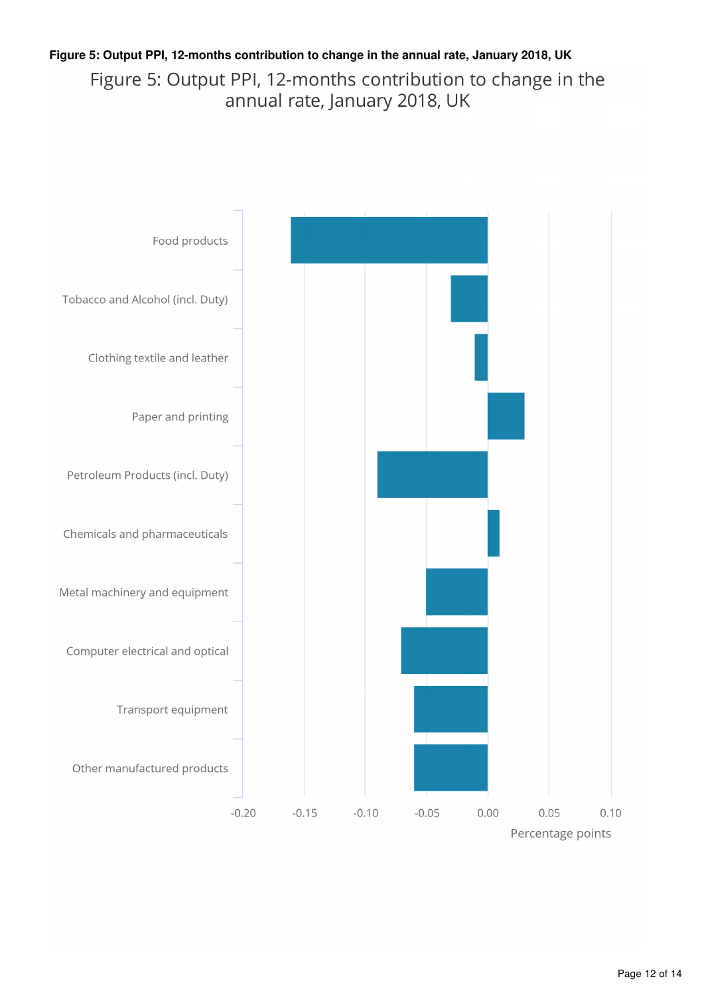#### **Figure 5: Output PPI, 12-months contribution to change in the annual rate, January 2018, UK**Figure 5: Output PPI, 12-months contribution to change in the annual rate, January 2018, UK

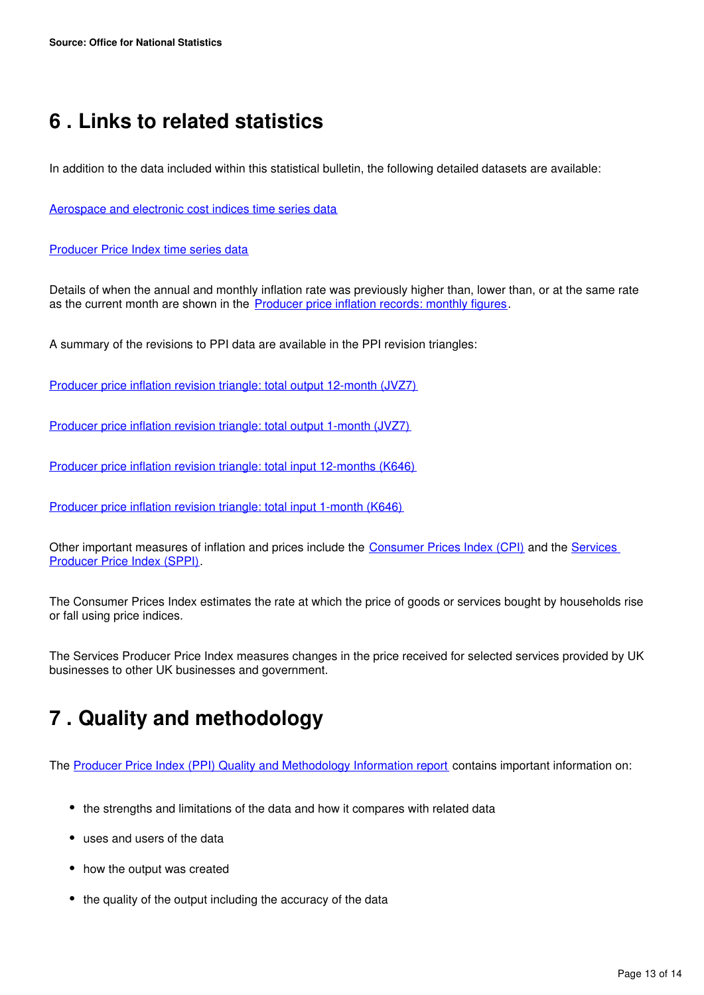## <span id="page-12-0"></span>**6 . Links to related statistics**

In addition to the data included within this statistical bulletin, the following detailed datasets are available:

[Aerospace and electronic cost indices time series data](https://www.ons.gov.uk/economy/inflationandpriceindices/datasets/aerospaceandelectronicscostindices)

#### **[Producer Price Index time series data](https://www.ons.gov.uk/economy/inflationandpriceindices/datasets/producerpriceindex)**

Details of when the annual and monthly inflation rate was previously higher than, lower than, or at the same rate as the current month are shown in the [Producer price inflation records: monthly figures.](https://www.ons.gov.uk/economy/inflationandpriceindices/datasets/producerpriceindicesrecords)

A summary of the revisions to PPI data are available in the PPI revision triangles:

[Producer price inflation revision triangle: total output 12-month \(JVZ7\)](https://www.ons.gov.uk/economy/inflationandpriceindices/datasets/producerpriceindexrevisiontriangletotaloutput12monthsjvz7)

[Producer price inflation revision triangle: total output 1-month \(JVZ7\)](https://www.ons.gov.uk/economy/inflationandpriceindices/datasets/producerpriceindexrevisiontriangletotaloutput1monthjvz7)

[Producer price inflation revision triangle: total input 12-months \(K646\)](https://www.ons.gov.uk/economy/inflationandpriceindices/datasets/producerpriceindexrevisiontriangletotalinput12months)

[Producer price inflation revision triangle: total input 1-month \(K646\)](https://www.ons.gov.uk/economy/inflationandpriceindices/datasets/producerpriceindexrevisiontriangletotalinput1month)

Other important measures of inflation and prices include the **[Consumer Prices Index \(CPI\)](https://www.ons.gov.uk/economy/inflationandpriceindices/bulletins/consumerpriceinflation/previousReleases)** and the **Services** [Producer Price Index \(SPPI\).](https://www.ons.gov.uk/economy/inflationandpriceindices/bulletins/servicesproducerpriceindices/previousReleases)

The Consumer Prices Index estimates the rate at which the price of goods or services bought by households rise or fall using price indices.

The Services Producer Price Index measures changes in the price received for selected services provided by UK businesses to other UK businesses and government.

### <span id="page-12-1"></span>**7 . Quality and methodology**

The [Producer Price Index \(PPI\) Quality and Methodology Information report](http://www.ons.gov.uk/economy/inflationandpriceindices/qmis/producerpriceindicesqmi) contains important information on:

- the strengths and limitations of the data and how it compares with related data
- uses and users of the data
- how the output was created
- the quality of the output including the accuracy of the data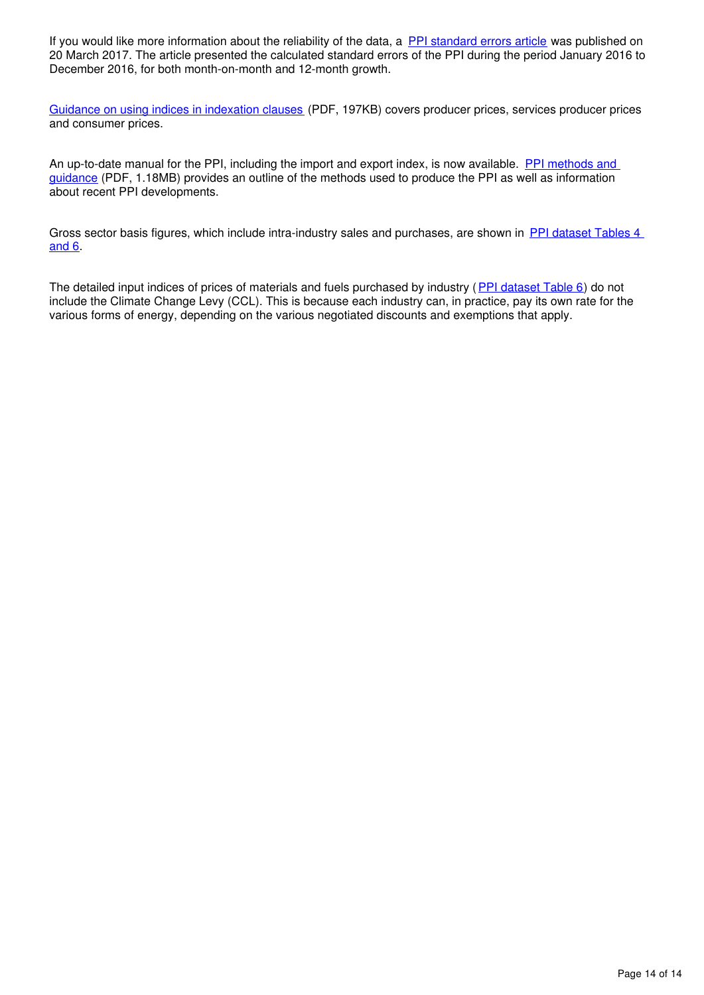If you would like more information about the reliability of the data, a [PPI standard errors article](https://www.ons.gov.uk/economy/inflationandpriceindices/articles/producerpriceindexstandarderrors/2016) was published on 20 March 2017. The article presented the calculated standard errors of the PPI during the period January 2016 to December 2016, for both month-on-month and 12-month growth.

[Guidance on using indices in indexation clauses](http://webarchive.nationalarchives.gov.uk/20160106081426/http:/www.ons.gov.uk/ons/guide-method/user-guidance/prices/ppi/guidance-on-using-indices-in-indexation-clauses.pdf) (PDF, 197KB) covers producer prices, services producer prices and consumer prices.

An up-to-date manual for the PPI, including the import and export index, is now available. PPI methods and [guidance](http://webarchive.nationalarchives.gov.uk/20160106081426/http:/www.ons.gov.uk/ons/guide-method/user-guidance/prices/ppi/producer-price-indices--methods-and-guidance----2014-edition.pdf) (PDF, 1.18MB) provides an outline of the methods used to produce the PPI as well as information about recent PPI developments.

Gross sector basis figures, which include intra-industry sales and purchases, are shown in [PPI dataset Tables 4](http://www.ons.gov.uk/economy/inflationandpriceindices/datasets/producerpriceindexreferencetables)  [and 6](http://www.ons.gov.uk/economy/inflationandpriceindices/datasets/producerpriceindexreferencetables).

The detailed input indices of prices of materials and fuels purchased by industry ([PPI dataset Table 6](http://www.ons.gov.uk/economy/inflationandpriceindices/datasets/producerpriceindexreferencetables)) do not include the Climate Change Levy (CCL). This is because each industry can, in practice, pay its own rate for the various forms of energy, depending on the various negotiated discounts and exemptions that apply.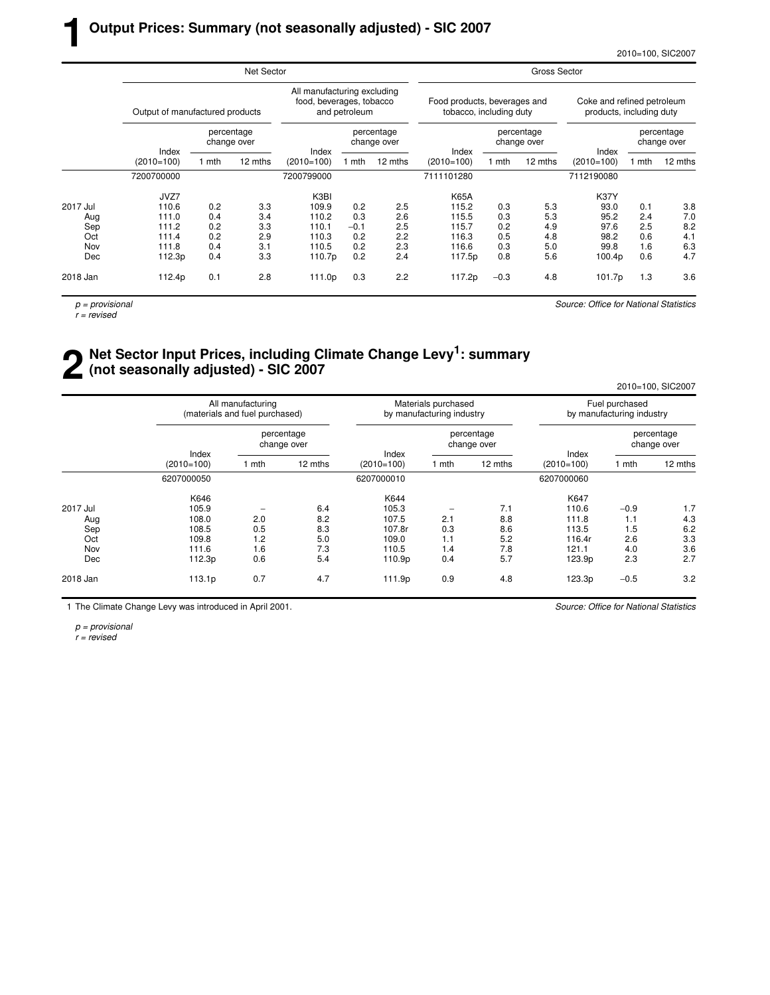2010=100, SIC2007

|          |                                 |       | Net Sector                |              |                                                                          | Gross Sector              |              |                                                         |         |                                                        |                           |         |  |
|----------|---------------------------------|-------|---------------------------|--------------|--------------------------------------------------------------------------|---------------------------|--------------|---------------------------------------------------------|---------|--------------------------------------------------------|---------------------------|---------|--|
|          | Output of manufactured products |       |                           |              | All manufacturing excluding<br>food, beverages, tobacco<br>and petroleum |                           |              | Food products, beverages and<br>tobacco, including duty |         | Coke and refined petroleum<br>products, including duty |                           |         |  |
|          | Index                           |       | percentage<br>change over | Index        |                                                                          | percentage<br>change over | Index        | percentage<br>change over                               |         | Index                                                  | percentage<br>change over |         |  |
|          | $(2010=100)$                    | 1 mth | 12 mths                   | $(2010=100)$ | l mth                                                                    | 12 mths                   | $(2010=100)$ | 1 mth                                                   | 12 mths | $(2010=100)$                                           | 1 mth                     | 12 mths |  |
|          | 7200700000                      |       |                           | 7200799000   |                                                                          |                           | 7111101280   |                                                         |         | 7112190080                                             |                           |         |  |
|          | JVZ7                            |       |                           | K3BI         |                                                                          |                           | K65A         |                                                         |         | <b>K37Y</b>                                            |                           |         |  |
| 2017 Jul | 110.6                           | 0.2   | 3.3                       | 109.9        | 0.2                                                                      | 2.5                       | 115.2        | 0.3                                                     | 5.3     | 93.0                                                   | 0.1                       | 3.8     |  |
| Aug      | 111.0                           | 0.4   | 3.4                       | 110.2        | 0.3                                                                      | 2.6                       | 115.5        | 0.3                                                     | 5.3     | 95.2                                                   | 2.4                       | 7.0     |  |
| Sep      | 111.2                           | 0.2   | 3.3                       | 110.1        | $-0.1$                                                                   | 2.5                       | 115.7        | 0.2                                                     | 4.9     | 97.6                                                   | 2.5                       | 8.2     |  |
| Oct      | 111.4                           | 0.2   | 2.9                       | 110.3        | 0.2                                                                      | 2.2                       | 116.3        | 0.5                                                     | 4.8     | 98.2                                                   | 0.6                       | 4.1     |  |
| Nov      | 111.8                           | 0.4   | 3.1                       | 110.5        | 0.2                                                                      | 2.3                       | 116.6        | 0.3                                                     | 5.0     | 99.8                                                   | 1.6                       | 6.3     |  |
| Dec      | 112.3p                          | 0.4   | 3.3                       | 110.7p       | 0.2                                                                      | 2.4                       | 117.5p       | 0.8                                                     | 5.6     | 100.4p                                                 | 0.6                       | 4.7     |  |
| 2018 Jan | 112.4p                          | 0.1   | 2.8                       | 111.0p       | 0.3                                                                      | 2.2                       | 117.2p       | $-0.3$                                                  | 4.8     | 101.7p                                                 | 1.3                       | 3.6     |  |
|          |                                 |       |                           |              |                                                                          |                           |              |                                                         |         |                                                        |                           |         |  |

 $p =$  provisional

 $r =$  revised

**1**

Source: Office for National Statistics

#### **2** Net Sector Input Prices, including Climate Change Levy<sup>1</sup>: summary (not seasonally adjusted) - SIC 2007 **(not seasonally adjusted) - SIC 2007**

2010=100, SIC2007 All manufacturing metallies are more interesting metallic metallic metallic metallic metallic metallic metalli<br>
All manufactur ing industry manufacturing industry and the by manufacturing industry<br>
All manufacturing indust (materials and fuel purchased) percentage percentage percentage percentage percentage percentage percentage percentage percentage percentage percentage percentage percentage percentage percentage percentage percentage percentage percentage percentage pe change over change over change over Index Index Index (2010=100) 1 mth 12 mths (2010=100) 1 mth 12 mths (2010=100) 1 mth 12 mths 6207000050 6207000010 6207000060 K646 K644 K647 2017 Jul 105.9 − 6.4 105.3 − 7.1 110.6 −0.9 1.7 Aug 108.0 2.0 8.2 107.5 2.1 8.8 111.8 1.1 4.3 Sep 108.5 0.5 8.3 107.8r 0.3 8.6 113.5 1.5 6.2 Oct 109.8 1.2 5.0 109.0 1.1 5.2 116.4r 2.6 3.3 Nov 111.6 1.6 7.3 110.5 1.4 7.8 121.1 4.0 3.6 Dec 112.3p 0.6 5.4 110.9p 0.4 5.7 123.9p 2.3 2.7 2018 Jan 113.1p 0.7 4.7 111.9p 0.9 4.8 123.3p −0.5 3.2

1 The Climate Change Levy was introduced in April 2001.

Source: Office for National Statistics

 $p =$  provisional  $r = \text{revised}$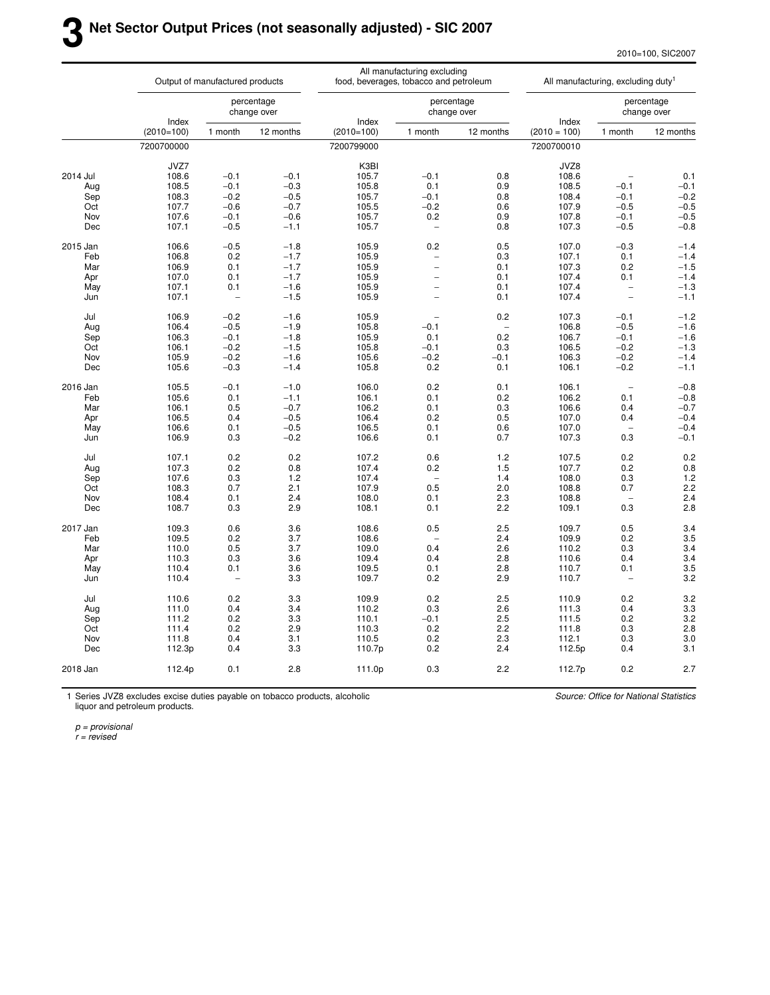2010=100, SIC2007

|          |              | Output of manufactured products |                           |              | All manufacturing excluding<br>food, beverages, tobacco and petroleum |            |                | All manufacturing, excluding duty <sup>1</sup> |                           |
|----------|--------------|---------------------------------|---------------------------|--------------|-----------------------------------------------------------------------|------------|----------------|------------------------------------------------|---------------------------|
|          | Index        |                                 | percentage<br>change over | Index        | change over                                                           | percentage | Index          |                                                | percentage<br>change over |
|          | $(2010=100)$ | 1 month                         | 12 months                 | $(2010=100)$ | 1 month                                                               | 12 months  | $(2010 = 100)$ | 1 month                                        | 12 months                 |
|          | 7200700000   |                                 |                           | 7200799000   |                                                                       |            | 7200700010     |                                                |                           |
|          | JVZ7         |                                 |                           | K3BI         |                                                                       |            | JVZ8           |                                                |                           |
| 2014 Jul | 108.6        | $-0.1$                          | $-0.1$                    | 105.7        | $-0.1$                                                                | 0.8        | 108.6          |                                                | 0.1                       |
| Aug      | 108.5        | $-0.1$                          | $-0.3$                    | 105.8        | 0.1                                                                   | 0.9        | 108.5          | $-0.1$                                         | $-0.1$                    |
| Sep      | 108.3        | $-0.2$                          | $-0.5$                    | 105.7        | $-0.1$                                                                | 0.8        | 108.4          | $-0.1$                                         | $-0.2$                    |
| Oct      | 107.7        | $-0.6$                          | $-0.7$                    | 105.5        | $-0.2$                                                                | 0.6        | 107.9          | $-0.5$                                         | $-0.5$                    |
| Nov      | 107.6        | $-0.1$                          | $-0.6$                    | 105.7        | 0.2                                                                   | 0.9        | 107.8          | $-0.1$                                         | $-0.5$                    |
| Dec      | 107.1        | $-0.5$                          | $-1.1$                    | 105.7        | $\qquad \qquad -$                                                     | 0.8        | 107.3          | $-0.5$                                         | $-0.8$                    |
|          |              |                                 |                           |              |                                                                       |            |                |                                                |                           |
| 2015 Jan | 106.6        | $-0.5$                          | $-1.8$                    | 105.9        | 0.2                                                                   | 0.5        | 107.0          | $-0.3$                                         | $-1.4$                    |
| Feb      | 106.8        | 0.2                             | $-1.7$                    | 105.9        | -                                                                     | 0.3        | 107.1          | 0.1                                            | $-1.4$                    |
| Mar      | 106.9        | 0.1                             | $-1.7$                    | 105.9        | $\overline{a}$                                                        | 0.1        | 107.3          | 0.2                                            | $-1.5$                    |
| Apr      | 107.0        | 0.1                             | $-1.7$                    | 105.9        | $\overline{a}$                                                        | 0.1        | 107.4          | 0.1                                            | $-1.4$                    |
| May      | 107.1        | 0.1                             | $-1.6$                    | 105.9        | $\overline{\phantom{0}}$                                              | 0.1        | 107.4          | $\overline{\phantom{0}}$                       | $-1.3$                    |
| Jun      | 107.1        |                                 | $-1.5$                    | 105.9        | $\overline{a}$                                                        | 0.1        | 107.4          | $\equiv$                                       | $-1.1$                    |
| Jul      | 106.9        | $-0.2$                          | $-1.6$                    | 105.9        |                                                                       | 0.2        | 107.3          | $-0.1$                                         | $-1.2$                    |
| Aug      | 106.4        | $-0.5$                          | $-1.9$                    | 105.8        | $-0.1$                                                                |            | 106.8          | $-0.5$                                         | $-1.6$                    |
| Sep      | 106.3        | $-0.1$                          | $-1.8$                    | 105.9        | 0.1                                                                   | 0.2        | 106.7          | $-0.1$                                         | $-1.6$                    |
| Oct      | 106.1        | $-0.2$                          | $-1.5$                    | 105.8        | $-0.1$                                                                | 0.3        | 106.5          | $-0.2$                                         | $-1.3$                    |
| Nov      | 105.9        | $-0.2$                          | $-1.6$                    | 105.6        | $-0.2$                                                                | $-0.1$     | 106.3          | $-0.2$                                         | $-1.4$                    |
| Dec      | 105.6        | $-0.3$                          | $-1.4$                    | 105.8        | 0.2                                                                   | 0.1        | 106.1          | $-0.2$                                         | $-1.1$                    |
|          |              |                                 |                           |              |                                                                       |            |                |                                                |                           |
| 2016 Jan | 105.5        | $-0.1$                          | $-1.0$                    | 106.0        | 0.2                                                                   | 0.1        | 106.1          | $\overline{\phantom{0}}$                       | $-0.8$                    |
| Feb      | 105.6        | 0.1                             | $-1.1$                    | 106.1        | 0.1                                                                   | 0.2        | 106.2          | 0.1                                            | $-0.8$                    |
| Mar      | 106.1        | 0.5                             | $-0.7$                    | 106.2        | 0.1                                                                   | 0.3        | 106.6          | 0.4                                            | $-0.7$                    |
| Apr      | 106.5        | 0.4                             | $-0.5$                    | 106.4        | 0.2                                                                   | 0.5        | 107.0          | 0.4                                            | $-0.4$                    |
| May      | 106.6        | 0.1                             | $-0.5$                    | 106.5        | 0.1                                                                   | 0.6        | 107.0          |                                                | $-0.4$                    |
| Jun      | 106.9        | 0.3                             | $-0.2$                    | 106.6        | 0.1                                                                   | 0.7        | 107.3          | 0.3                                            | $-0.1$                    |
| Jul      | 107.1        | 0.2                             | 0.2                       | 107.2        | 0.6                                                                   | 1.2        | 107.5          | 0.2                                            | 0.2                       |
| Aug      | 107.3        | 0.2                             | 0.8                       | 107.4        | 0.2                                                                   | 1.5        | 107.7          | 0.2                                            | 0.8                       |
| Sep      | 107.6        | 0.3                             | 1.2                       | 107.4        | $\overline{\phantom{a}}$                                              | 1.4        | 108.0          | 0.3                                            | 1.2                       |
| Oct      | 108.3        | 0.7                             | 2.1                       | 107.9        | 0.5                                                                   | 2.0        | 108.8          | 0.7                                            | 2.2                       |
| Nov      | 108.4        | 0.1                             | 2.4                       | 108.0        | 0.1                                                                   | 2.3        | 108.8          |                                                | 2.4                       |
| Dec      | 108.7        | 0.3                             | 2.9                       | 108.1        | 0.1                                                                   | 2.2        | 109.1          | 0.3                                            | 2.8                       |
|          |              |                                 |                           |              |                                                                       |            |                |                                                |                           |
| 2017 Jan | 109.3        | 0.6                             | 3.6                       | 108.6        | 0.5                                                                   | 2.5        | 109.7          | 0.5                                            | 3.4                       |
| Feb      | 109.5        | 0.2                             | 3.7                       | 108.6        |                                                                       | 2.4        | 109.9          | 0.2                                            | 3.5                       |
| Mar      | 110.0        | 0.5                             | 3.7                       | 109.0        | 0.4                                                                   | 2.6        | 110.2          | 0.3                                            | 3.4                       |
| Apr      | 110.3        | 0.3                             | 3.6                       | 109.4        | 0.4                                                                   | 2.8        | 110.6          | 0.4                                            | 3.4                       |
| May      | 110.4        | 0.1                             | 3.6                       | 109.5        | 0.1                                                                   | 2.8        | 110.7          | 0.1                                            | 3.5                       |
| Jun      | 110.4        |                                 | 3.3                       | 109.7        | 0.2                                                                   | 2.9        | 110.7          |                                                | 3.2                       |
| Jul      | 110.6        | 0.2                             | 3.3                       | 109.9        | 0.2                                                                   | 2.5        | 110.9          | 0.2                                            | 3.2                       |
|          | 111.0        | 0.4                             | 3.4                       | 110.2        | 0.3                                                                   | 2.6        | 111.3          | 0.4                                            | 3.3                       |
| Aug      | 111.2        | 0.2                             | 3.3                       | 110.1        | $-0.1$                                                                | 2.5        | 111.5          | 0.2                                            | 3.2                       |
| Sep      | 111.4        | 0.2                             | 2.9                       |              |                                                                       | 2.2        |                |                                                | 2.8                       |
| Oct      |              |                                 |                           | 110.3        | 0.2                                                                   |            | 111.8          | 0.3                                            |                           |
| Nov      | 111.8        | 0.4                             | 3.1                       | 110.5        | 0.2                                                                   | 2.3        | 112.1          | 0.3                                            | 3.0                       |
| Dec      | 112.3p       | 0.4                             | 3.3                       | 110.7p       | 0.2                                                                   | 2.4        | 112.5p         | 0.4                                            | 3.1                       |
| 2018 Jan | 112.4p       | 0.1                             | 2.8                       | 111.0p       | 0.3                                                                   | 2.2        | 112.7p         | 0.2                                            | 2.7                       |

1 Series JVZ8 excludes excise duties payable on tobacco products, alcoholic liquor and petroleum products.

Source: Office for National Statistics

p = provisional

r = revised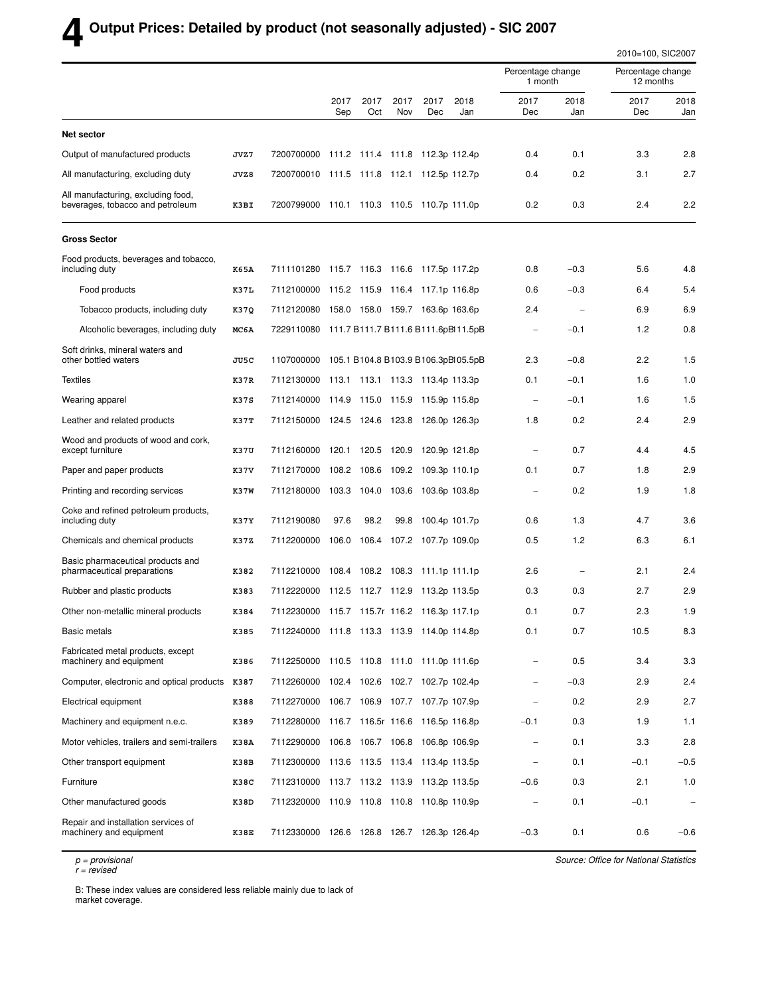# **4 Output Prices: Detailed by product (not seasonally adjusted) - SIC 2007**

|                                                                        |      |                                                |             |                   |             |                                 |             |                              |                          | 2010=100, SIC2007              |                          |  |
|------------------------------------------------------------------------|------|------------------------------------------------|-------------|-------------------|-------------|---------------------------------|-------------|------------------------------|--------------------------|--------------------------------|--------------------------|--|
|                                                                        |      |                                                |             |                   |             |                                 |             | Percentage change<br>1 month |                          | Percentage change<br>12 months |                          |  |
|                                                                        |      |                                                | 2017<br>Sep | 2017<br>Oct       | 2017<br>Nov | 2017<br>Dec                     | 2018<br>Jan | 2017<br>Dec                  | 2018<br>Jan              | 2017<br>Dec                    | 2018<br>Jan              |  |
| <b>Net sector</b>                                                      |      |                                                |             |                   |             |                                 |             |                              |                          |                                |                          |  |
| Output of manufactured products                                        | JVZ7 | 7200700000                                     |             |                   |             | 111.2 111.4 111.8 112.3p 112.4p |             | 0.4                          | 0.1                      | 3.3                            | 2.8                      |  |
| All manufacturing, excluding duty                                      | JVZ8 | 7200700010 111.5 111.8 112.1 112.5p 112.7p     |             |                   |             |                                 |             | 0.4                          | 0.2                      | 3.1                            | 2.7                      |  |
| All manufacturing, excluding food,<br>beverages, tobacco and petroleum | K3BI | 7200799000 110.1 110.3 110.5 110.7p 111.0p     |             |                   |             |                                 |             | 0.2                          | 0.3                      | 2.4                            | 2.2                      |  |
| <b>Gross Sector</b>                                                    |      |                                                |             |                   |             |                                 |             |                              |                          |                                |                          |  |
| Food products, beverages and tobacco,<br>including duty                | K65A | 7111101280 115.7 116.3 116.6 117.5p 117.2p     |             |                   |             |                                 |             | 0.8                          | $-0.3$                   | 5.6                            | 4.8                      |  |
| Food products                                                          | K37L | 7112100000 115.2 115.9 116.4 117.1p 116.8p     |             |                   |             |                                 |             | 0.6                          | $-0.3$                   | 6.4                            | 5.4                      |  |
| Tobacco products, including duty                                       | K37Q | 7112120080 158.0 158.0 159.7 163.6p 163.6p     |             |                   |             |                                 |             | 2.4                          | $\overline{\phantom{a}}$ | 6.9                            | 6.9                      |  |
| Alcoholic beverages, including duty                                    | MC6A | 7229110080 111.7 B111.7 B111.6 B111.6pBl11.5pB |             |                   |             |                                 |             |                              | $-0.1$                   | 1.2                            | 0.8                      |  |
| Soft drinks, mineral waters and<br>other bottled waters                | JU5C | 1107000000 105.1 B104.8 B103.9 B106.3pBl05.5pB |             |                   |             |                                 |             | 2.3                          | $-0.8$                   | 2.2                            | 1.5                      |  |
| <b>Textiles</b>                                                        | K37R | 7112130000 113.1 113.1 113.3 113.4p 113.3p     |             |                   |             |                                 |             | 0.1                          | $-0.1$                   | 1.6                            | 1.0                      |  |
| Wearing apparel                                                        | K37S | 7112140000 114.9 115.0 115.9 115.9p 115.8p     |             |                   |             |                                 |             | $\overline{\phantom{a}}$     | $-0.1$                   | 1.6                            | 1.5                      |  |
| Leather and related products                                           | K37T | 7112150000 124.5 124.6 123.8 126.0p 126.3p     |             |                   |             |                                 |             | 1.8                          | 0.2                      | 2.4                            | 2.9                      |  |
| Wood and products of wood and cork,<br>except furniture                | K37U | 7112160000                                     |             | 120.1 120.5 120.9 |             | 120.9p 121.8p                   |             | $\overline{\phantom{a}}$     | 0.7                      | 4.4                            | 4.5                      |  |
| Paper and paper products                                               | K37V | 7112170000                                     |             | 108.2 108.6 109.2 |             | 109.3p 110.1p                   |             | 0.1                          | 0.7                      | 1.8                            | 2.9                      |  |
| Printing and recording services                                        | K37W | 7112180000 103.3 104.0 103.6 103.6p 103.8p     |             |                   |             |                                 |             | $\overline{\phantom{0}}$     | 0.2                      | 1.9                            | 1.8                      |  |
| Coke and refined petroleum products,<br>including duty                 | K37Y | 7112190080                                     | 97.6        | 98.2              | 99.8        | 100.4p 101.7p                   |             | 0.6                          | 1.3                      | 4.7                            | 3.6                      |  |
| Chemicals and chemical products                                        | K37Z | 7112200000                                     |             |                   |             | 106.0 106.4 107.2 107.7p 109.0p |             | 0.5                          | 1.2                      | 6.3                            | 6.1                      |  |
| Basic pharmaceutical products and<br>pharmaceutical preparations       | K382 | 7112210000 108.4 108.2 108.3 111.1p 111.1p     |             |                   |             |                                 |             | 2.6                          |                          | 2.1                            | 2.4                      |  |
| Rubber and plastic products                                            | K383 | 7112220000 112.5 112.7 112.9 113.2p 113.5p     |             |                   |             |                                 |             | 0.3                          | 0.3                      | 2.7                            | 2.9                      |  |
| Other non-metallic mineral products                                    | K384 | 7112230000 115.7 115.7r 116.2 116.3p 117.1p    |             |                   |             |                                 |             | 0.1                          | 0.7                      | 2.3                            | 1.9                      |  |
| Basic metals                                                           | K385 | 7112240000 111.8 113.3 113.9 114.0p 114.8p     |             |                   |             |                                 |             | 0.1                          | 0.7                      | 10.5                           | 8.3                      |  |
| Fabricated metal products, except<br>machinery and equipment           | K386 | 7112250000 110.5 110.8 111.0 111.0p 111.6p     |             |                   |             |                                 |             |                              | 0.5                      | 3.4                            | 3.3                      |  |
| Computer, electronic and optical products K387                         |      | 7112260000 102.4 102.6 102.7 102.7p 102.4p     |             |                   |             |                                 |             | $\overline{\phantom{0}}$     | $-0.3$                   | 2.9                            | 2.4                      |  |
| Electrical equipment                                                   | K388 | 7112270000 106.7 106.9 107.7 107.7p 107.9p     |             |                   |             |                                 |             |                              | 0.2                      | 2.9                            | 2.7                      |  |
| Machinery and equipment n.e.c.                                         | K389 | 7112280000 116.7 116.5r 116.6 116.5p 116.8p    |             |                   |             |                                 |             | $-0.1$                       | 0.3                      | 1.9                            | 1.1                      |  |
| Motor vehicles, trailers and semi-trailers                             | K38A | 7112290000 106.8 106.7 106.8 106.8p 106.9p     |             |                   |             |                                 |             | $\qquad \qquad -$            | 0.1                      | 3.3                            | 2.8                      |  |
| Other transport equipment                                              | K38B | 7112300000 113.6 113.5 113.4 113.4p 113.5p     |             |                   |             |                                 |             |                              | 0.1                      | $-0.1$                         | $-0.5$                   |  |
| Furniture                                                              | K38C | 7112310000 113.7 113.2 113.9 113.2p 113.5p     |             |                   |             |                                 |             | $-0.6$                       | 0.3                      | 2.1                            | 1.0                      |  |
| Other manufactured goods                                               | K38D | 7112320000 110.9 110.8 110.8 110.8p 110.9p     |             |                   |             |                                 |             |                              | 0.1                      | $-0.1$                         | $\overline{\phantom{m}}$ |  |
| Repair and installation services of<br>machinery and equipment         | K38E | 7112330000 126.6 126.8 126.7 126.3p 126.4p     |             |                   |             |                                 |             | $-0.3$                       | 0.1                      | 0.6                            | $-0.6$                   |  |

p = provisional

r = revised

Source: Office for National Statistics

B: These index values are considered less reliable mainly due to lack of market coverage.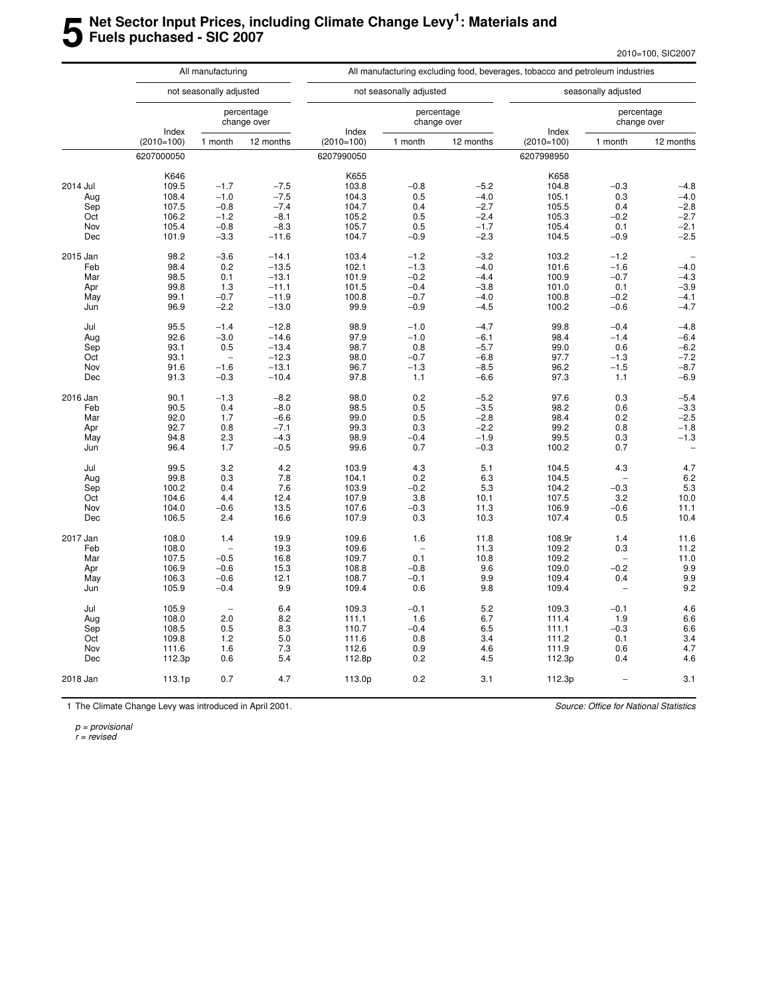#### **5 Net Sector Input Prices, including Climate Change Levy<sup>1</sup> : Materials and Fuels puchased - SIC 2007**

|          |                       | All manufacturing        |                           | All manufacturing excluding food, beverages, tobacco and petroleum industries |                          |                           |                       |                          |                           |  |  |  |  |
|----------|-----------------------|--------------------------|---------------------------|-------------------------------------------------------------------------------|--------------------------|---------------------------|-----------------------|--------------------------|---------------------------|--|--|--|--|
|          |                       | not seasonally adjusted  |                           |                                                                               | not seasonally adjusted  |                           |                       | seasonally adjusted      |                           |  |  |  |  |
|          |                       |                          | percentage<br>change over |                                                                               |                          | percentage<br>change over |                       |                          | percentage<br>change over |  |  |  |  |
|          | Index<br>$(2010=100)$ | 1 month                  | 12 months                 | Index<br>$(2010=100)$                                                         | 1 month                  | 12 months                 | Index<br>$(2010=100)$ | 1 month                  | 12 months                 |  |  |  |  |
|          | 6207000050            |                          |                           | 6207990050                                                                    |                          |                           | 6207998950            |                          |                           |  |  |  |  |
|          | K646                  |                          |                           | K655                                                                          |                          |                           | K658                  |                          |                           |  |  |  |  |
| 2014 Jul | 109.5                 | $-1.7$                   | $-7.5$                    | 103.8                                                                         | $-0.8$                   | $-5.2$                    | 104.8                 | $-0.3$                   | $-4.8$                    |  |  |  |  |
| Aug      | 108.4                 | $-1.0$                   | $-7.5$                    | 104.3                                                                         | 0.5                      | $-4.0$                    | 105.1                 | 0.3                      | $-4.0$                    |  |  |  |  |
| Sep      | 107.5                 | $-0.8$                   | $-7.4$                    | 104.7                                                                         | 0.4                      | $-2.7$                    | 105.5                 | 0.4                      | $-2.8$                    |  |  |  |  |
| Oct      | 106.2                 | $-1.2$                   | $-8.1$                    | 105.2                                                                         | 0.5                      | $-2.4$                    | 105.3                 | $-0.2$                   | $-2.7$                    |  |  |  |  |
| Nov      | 105.4                 | $-0.8$                   | $-8.3$                    | 105.7                                                                         | 0.5                      | $-1.7$                    | 105.4                 | 0.1                      | $-2.1$                    |  |  |  |  |
|          |                       |                          |                           |                                                                               |                          |                           |                       |                          |                           |  |  |  |  |
| Dec      | 101.9                 | $-3.3$                   | $-11.6$                   | 104.7                                                                         | $-0.9$                   | $-2.3$                    | 104.5                 | $-0.9$                   | $-2.5$                    |  |  |  |  |
| 2015 Jan | 98.2                  | $-3.6$                   | $-14.1$                   | 103.4                                                                         | $-1.2$                   | $-3.2$                    | 103.2                 | $-1.2$                   | $\overline{\phantom{a}}$  |  |  |  |  |
| Feb      | 98.4                  | 0.2                      | $-13.5$                   | 102.1                                                                         | $-1.3$                   | $-4.0$                    | 101.6                 | $-1.6$                   | $-4.0$                    |  |  |  |  |
| Mar      | 98.5                  | 0.1                      | $-13.1$                   | 101.9                                                                         | $-0.2$                   | $-4.4$                    | 100.9                 | $-0.7$                   | $-4.3$                    |  |  |  |  |
| Apr      | 99.8                  | 1.3                      | $-11.1$                   | 101.5                                                                         | $-0.4$                   | $-3.8$                    | 101.0                 | 0.1                      | $-3.9$                    |  |  |  |  |
| May      | 99.1                  | $-0.7$                   | $-11.9$                   | 100.8                                                                         | $-0.7$                   | $-4.0$                    | 100.8                 | $-0.2$                   | $-4.1$                    |  |  |  |  |
| Jun      | 96.9                  | $-2.2$                   | $-13.0$                   | 99.9                                                                          | $-0.9$                   | $-4.5$                    | 100.2                 | $-0.6$                   | $-4.7$                    |  |  |  |  |
| Jul      | 95.5                  | $-1.4$                   | $-12.8$                   | 98.9                                                                          | $-1.0$                   | $-4.7$                    | 99.8                  | $-0.4$                   | $-4.8$                    |  |  |  |  |
|          | 92.6                  | $-3.0$                   |                           | 97.9                                                                          | $-1.0$                   |                           |                       |                          |                           |  |  |  |  |
| Aug      |                       |                          | $-14.6$                   |                                                                               |                          | $-6.1$                    | 98.4                  | $-1.4$                   | $-6.4$                    |  |  |  |  |
| Sep      | 93.1                  | 0.5                      | $-13.4$                   | 98.7                                                                          | 0.8                      | $-5.7$                    | 99.0                  | 0.6                      | $-6.2$                    |  |  |  |  |
| Oct      | 93.1                  | $\overline{\phantom{a}}$ | $-12.3$                   | 98.0                                                                          | $-0.7$                   | $-6.8$                    | 97.7                  | $-1.3$                   | $-7.2$                    |  |  |  |  |
| Nov      | 91.6                  | $-1.6$                   | $-13.1$                   | 96.7                                                                          | $-1.3$                   | $-8.5$                    | 96.2                  | $-1.5$                   | $-8.7$                    |  |  |  |  |
| Dec      | 91.3                  | $-0.3$                   | $-10.4$                   | 97.8                                                                          | 1.1                      | $-6.6$                    | 97.3                  | 1.1                      | $-6.9$                    |  |  |  |  |
| 2016 Jan | 90.1                  | $-1.3$                   | $-8.2$                    | 98.0                                                                          | 0.2                      | $-5.2$                    | 97.6                  | 0.3                      | $-5.4$                    |  |  |  |  |
| Feb      | 90.5                  | 0.4                      | $-8.0$                    | 98.5                                                                          | 0.5                      | $-3.5$                    | 98.2                  | 0.6                      | $-3.3$                    |  |  |  |  |
| Mar      | 92.0                  | 1.7                      | $-6.6$                    | 99.0                                                                          | 0.5                      | $-2.8$                    | 98.4                  | 0.2                      | $-2.5$                    |  |  |  |  |
| Apr      | 92.7                  | 0.8                      | $-7.1$                    | 99.3                                                                          | 0.3                      | $-2.2$                    | 99.2                  | 0.8                      | $-1.8$                    |  |  |  |  |
| May      | 94.8                  | 2.3                      | $-4.3$                    | 98.9                                                                          | $-0.4$                   | $-1.9$                    | 99.5                  | 0.3                      | $-1.3$                    |  |  |  |  |
| Jun      | 96.4                  | 1.7                      | $-0.5$                    | 99.6                                                                          | 0.7                      | $-0.3$                    | 100.2                 | 0.7                      |                           |  |  |  |  |
| Jul      | 99.5                  | 3.2                      | 4.2                       | 103.9                                                                         | 4.3                      | 5.1                       | 104.5                 | 4.3                      | 4.7                       |  |  |  |  |
| Aug      | 99.8                  | 0.3                      | 7.8                       | 104.1                                                                         | 0.2                      | 6.3                       | 104.5                 |                          | 6.2                       |  |  |  |  |
|          | 100.2                 | 0.4                      | 7.6                       | 103.9                                                                         | $-0.2$                   | 5.3                       | 104.2                 | $-0.3$                   |                           |  |  |  |  |
| Sep      |                       |                          |                           |                                                                               |                          |                           |                       |                          | 5.3                       |  |  |  |  |
| Oct      | 104.6                 | 4.4                      | 12.4                      | 107.9                                                                         | 3.8                      | 10.1                      | 107.5                 | 3.2                      | 10.0                      |  |  |  |  |
| Nov      | 104.0                 | $-0.6$                   | 13.5                      | 107.6                                                                         | $-0.3$                   | 11.3                      | 106.9                 | $-0.6$                   | 11.1                      |  |  |  |  |
| Dec      | 106.5                 | 2.4                      | 16.6                      | 107.9                                                                         | 0.3                      | 10.3                      | 107.4                 | 0.5                      | 10.4                      |  |  |  |  |
| 2017 Jan | 108.0                 | 1.4                      | 19.9                      | 109.6                                                                         | 1.6                      | 11.8                      | 108.9r                | 1.4                      | 11.6                      |  |  |  |  |
| Feb      | 108.0                 | $\overline{\phantom{0}}$ | 19.3                      | 109.6                                                                         | $\overline{\phantom{0}}$ | 11.3                      | 109.2                 | 0.3                      | 11.2                      |  |  |  |  |
| Mar      | 107.5                 | $-0.5$                   | 16.8                      | 109.7                                                                         | 0.1                      | 10.8                      | 109.2                 | $\overline{\phantom{0}}$ | 11.0                      |  |  |  |  |
| Apr      | 106.9                 | $-0.6$                   | 15.3                      | 108.8                                                                         | $-0.8$                   | 9.6                       | 109.0                 | $-0.2$                   | 9.9                       |  |  |  |  |
| May      | 106.3                 | $-0.6$                   | 12.1                      | 108.7                                                                         | $-0.1$                   | 9.9                       | 109.4                 | 0.4                      | 9.9                       |  |  |  |  |
| Jun      | 105.9                 | $-0.4$                   | 9.9                       | 109.4                                                                         | 0.6                      | 9.8                       | 109.4                 | Ĭ.                       | 9.2                       |  |  |  |  |
|          |                       |                          |                           |                                                                               |                          |                           |                       |                          |                           |  |  |  |  |
| Jul      | 105.9                 | $\overline{\phantom{0}}$ | 6.4                       | 109.3                                                                         | $-0.1$                   | 5.2                       | 109.3                 | $-0.1$                   | 4.6                       |  |  |  |  |
| Aug      | 108.0                 | 2.0                      | 8.2                       | 111.1                                                                         | 1.6                      | 6.7                       | 111.4                 | 1.9                      | 6.6                       |  |  |  |  |
| Sep      | 108.5                 | 0.5                      | 8.3                       | 110.7                                                                         | $-0.4$                   | 6.5                       | 111.1                 | $-0.3$                   | 6.6                       |  |  |  |  |
| Oct      | 109.8                 | 1.2                      | 5.0                       | 111.6                                                                         | 0.8                      | 3.4                       | 111.2                 | 0.1                      | 3.4                       |  |  |  |  |
| Nov      | 111.6                 | 1.6                      | 7.3                       | 112.6                                                                         | 0.9                      | 4.6                       | 111.9                 | 0.6                      | 4.7                       |  |  |  |  |
| Dec      | 112.3p                | 0.6                      | 5.4                       | 112.8p                                                                        | 0.2                      | 4.5                       | 112.3p                | 0.4                      | 4.6                       |  |  |  |  |
| 2018 Jan | 113.1p                | 0.7                      | 4.7                       | 113.0p                                                                        | 0.2                      | 3.1                       | 112.3p                | $\overline{\phantom{a}}$ | 3.1                       |  |  |  |  |

1 The Climate Change Levy was introduced in April 2001.

Source: Office for National Statistics

p = provisional

r = revised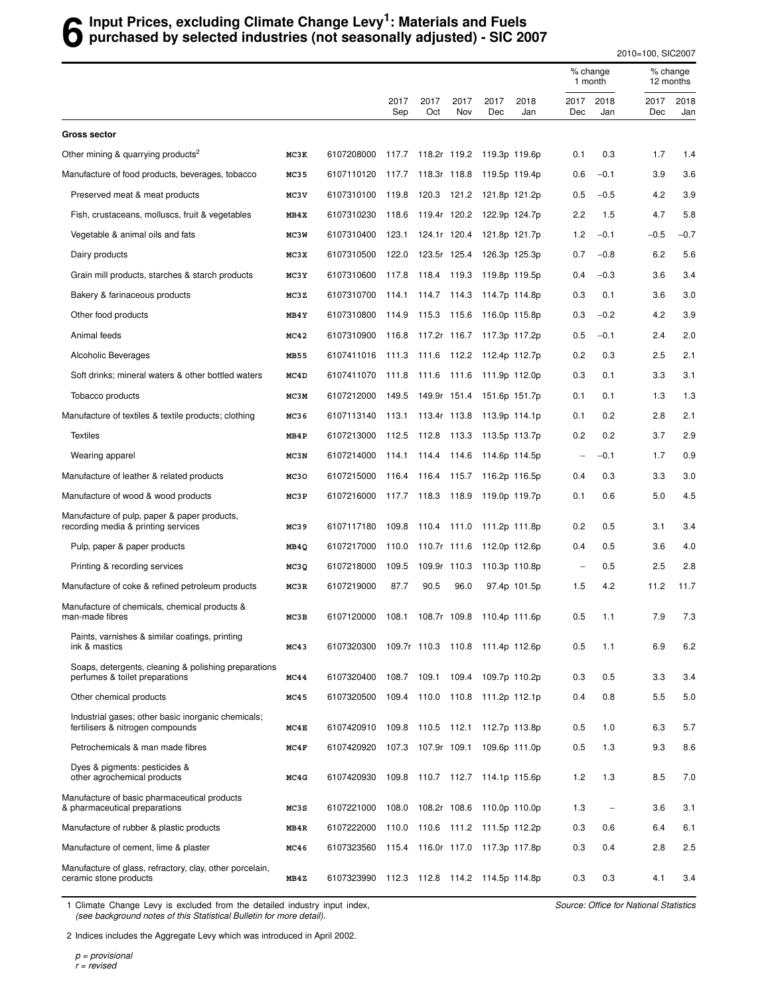#### **6** Input Prices, excluding Climate Change Levy<sup>1</sup>: Materials and Fuels<br>**6** purchased by selected industries (not seasonally adjusted) - SIC 20 **purchased by selected industries (not seasonally adjusted) - SIC 2007**

2010=100, SIC2007

|                                                                                        |      |                                            |                   |                    |             |                                  |               | % change<br>1 month      |                          | % change<br>12 months |             |
|----------------------------------------------------------------------------------------|------|--------------------------------------------|-------------------|--------------------|-------------|----------------------------------|---------------|--------------------------|--------------------------|-----------------------|-------------|
|                                                                                        |      |                                            | 2017<br>Sep       | 2017<br>Oct        | 2017<br>Nov | 2017<br>Dec                      | 2018<br>Jan   | 2017<br>Dec              | 2018<br>Jan              | 2017<br>Dec           | 2018<br>Jan |
| <b>Gross sector</b>                                                                    |      |                                            |                   |                    |             |                                  |               |                          |                          |                       |             |
| Other mining & quarrying products <sup>2</sup>                                         | MC3K | 6107208000                                 | 117.7             | 118.2r 119.2       |             | 119.3p 119.6p                    |               | 0.1                      | 0.3                      | 1.7                   | 1.4         |
| Manufacture of food products, beverages, tobacco                                       | MC35 | 6107110120 117.7 118.3r 118.8              |                   |                    |             | 119.5p 119.4p                    |               | 0.6                      | $-0.1$                   | 3.9                   | 3.6         |
| Preserved meat & meat products                                                         | MC3V | 6107310100                                 | 119.8             | 120.3              | 121.2       |                                  | 121.8p 121.2p | 0.5                      | $-0.5$                   | 4.2                   | 3.9         |
| Fish, crustaceans, molluscs, fruit & vegetables                                        | MB4X | 6107310230                                 | 118.6             | 119.4r 120.2       |             |                                  | 122.9p 124.7p | 2.2                      | 1.5                      | 4.7                   | 5.8         |
| Vegetable & animal oils and fats                                                       | MC3W | 6107310400                                 | 123.1             | 124.1r 120.4       |             | 121.8p 121.7p                    |               | 1.2                      | $-0.1$                   | $-0.5$                | $-0.7$      |
| Dairy products                                                                         | MC3X | 6107310500                                 | 122.0             | 123.5r 125.4       |             |                                  | 126.3p 125.3p | 0.7                      | $-0.8$                   | 6.2                   | 5.6         |
| Grain mill products, starches & starch products                                        | MC3Y | 6107310600                                 | 117.8             | 118.4 119.3        |             | 119.8p 119.5p                    |               | 0.4                      | $-0.3$                   | 3.6                   | 3.4         |
| Bakery & farinaceous products                                                          | MC3Z | 6107310700                                 | 114.1 114.7 114.3 |                    |             | 114.7p 114.8p                    |               | 0.3                      | 0.1                      | 3.6                   | 3.0         |
| Other food products                                                                    | MB4Y | 6107310800                                 | 114.9             | 115.3              | 115.6       | 116.0p 115.8p                    |               | 0.3                      | $-0.2$                   | 4.2                   | 3.9         |
| Animal feeds                                                                           | MC42 | 6107310900                                 | 116.8             | 117.2r 116.7       |             | 117.3p 117.2p                    |               | 0.5                      | $-0.1$                   | 2.4                   | 2.0         |
| Alcoholic Beverages                                                                    | MB55 | 6107411016 111.3 111.6 112.2 112.4p 112.7p |                   |                    |             |                                  |               | 0.2                      | 0.3                      | 2.5                   | 2.1         |
| Soft drinks; mineral waters & other bottled waters                                     | MC4D | 6107411070                                 | 111.8             | 111.6              | 111.6       | 111.9p 112.0p                    |               | 0.3                      | 0.1                      | 3.3                   | 3.1         |
| Tobacco products                                                                       | MC3M | 6107212000                                 |                   | 149.5 149.9r 151.4 |             | 151.6p 151.7p                    |               | 0.1                      | 0.1                      | 1.3                   | 1.3         |
| Manufacture of textiles & textile products; clothing                                   | MC36 | 6107113140 113.1 113.4r 113.8              |                   |                    |             | 113.9p 114.1p                    |               | 0.1                      | 0.2                      | 2.8                   | 2.1         |
| <b>Textiles</b>                                                                        | MB4P | 6107213000                                 | 112.5             | 112.8              | 113.3       |                                  | 113.5p 113.7p | 0.2                      | 0.2                      | 3.7                   | 2.9         |
| Wearing apparel                                                                        | MC3N | 6107214000                                 | 114.1             | 114.4              | 114.6       |                                  | 114.6p 114.5p | $\overline{\phantom{0}}$ | $-0.1$                   | 1.7                   | 0.9         |
| Manufacture of leather & related products                                              | MC30 | 6107215000                                 |                   |                    |             | 116.4 116.4 115.7 116.2p 116.5p  |               | 0.4                      | 0.3                      | 3.3                   | 3.0         |
| Manufacture of wood & wood products                                                    | MC3P | 6107216000                                 | 117.7             | 118.3              | 118.9       |                                  | 119.0p 119.7p | 0.1                      | 0.6                      | 5.0                   | 4.5         |
| Manufacture of pulp, paper & paper products,<br>recording media & printing services    | MC39 | 6107117180                                 | 109.8             | 110.4 111.0        |             |                                  | 111.2p 111.8p | 0.2                      | 0.5                      | 3.1                   | 3.4         |
| Pulp, paper & paper products                                                           | MB4Q | 6107217000                                 | 110.0             | 110.7r 111.6       |             |                                  | 112.0p 112.6p | 0.4                      | 0.5                      | 3.6                   | 4.0         |
| Printing & recording services                                                          | MC3Q | 6107218000                                 | 109.5             | 109.9r 110.3       |             |                                  | 110.3p 110.8p | $\overline{\phantom{0}}$ | 0.5                      | 2.5                   | 2.8         |
| Manufacture of coke & refined petroleum products                                       | MC3R | 6107219000                                 | 87.7              | 90.5               | 96.0        |                                  | 97.4p 101.5p  | 1.5                      | 4.2                      | 11.2                  | 11.7        |
| Manufacture of chemicals, chemical products &<br>man-made fibres                       | MC3B | 6107120000                                 | 108.1             | 108.7r 109.8       |             |                                  | 110.4p 111.6p | 0.5                      | 1.1                      | 7.9                   | 7.3         |
| Paints, varnishes & similar coatings, printing<br>ink & mastics                        | MC43 | 6107320300                                 |                   |                    |             | 109.7r 110.3 110.8 111.4p 112.6p |               | 0.5                      | 1.1                      | 6.9                   | 6.2         |
| Soaps, detergents, cleaning & polishing preparations<br>perfumes & toilet preparations | MC44 | 6107320400                                 | 108.7             | 109.1              |             | 109.4 109.7p 110.2p              |               | 0.3                      | 0.5                      | 3.3                   | 3.4         |
| Other chemical products                                                                | MC45 | 6107320500                                 | 109.4             | 110.0 110.8        |             | 111.2p 112.1p                    |               | 0.4                      | 0.8                      | 5.5                   | 5.0         |
| Industrial gases; other basic inorganic chemicals;<br>fertilisers & nitrogen compounds | MC4E | 6107420910 109.8 110.5 112.1               |                   |                    |             |                                  | 112.7p 113.8p | 0.5                      | 1.0                      | 6.3                   | 5.7         |
| Petrochemicals & man made fibres                                                       | MC4F | 6107420920 107.3 107.9r 109.1              |                   |                    |             |                                  | 109.6p 111.0p | 0.5                      | 1.3                      | 9.3                   | 8.6         |
| Dyes & pigments: pesticides &<br>other agrochemical products                           | MC4G | 6107420930 109.8 110.7 112.7 114.1p 115.6p |                   |                    |             |                                  |               | 1.2                      | 1.3                      | 8.5                   | 7.0         |
| Manufacture of basic pharmaceutical products<br>& pharmaceutical preparations          | MC3S | 6107221000                                 | 108.0             | 108.2r 108.6       |             | 110.0p 110.0p                    |               | 1.3                      | $\overline{\phantom{0}}$ | 3.6                   | 3.1         |
| Manufacture of rubber & plastic products                                               | MB4R | 6107222000                                 | 110.0             |                    |             | 110.6 111.2 111.5p 112.2p        |               | 0.3                      | 0.6                      | 6.4                   | 6.1         |
| Manufacture of cement, lime & plaster                                                  | MC46 | 6107323560 115.4                           |                   |                    |             | 116.0r 117.0 117.3p 117.8p       |               | 0.3                      | 0.4                      | 2.8                   | 2.5         |
| Manufacture of glass, refractory, clay, other porcelain,<br>ceramic stone products     | MB4Z | 6107323990 112.3 112.8 114.2 114.5p 114.8p |                   |                    |             |                                  |               | 0.3                      | 0.3                      | 4.1                   | 3.4         |

1 Climate Change Levy is excluded from the detailed industry input index, (see background notes of this Statistical Bulletin for more detail).

Source: Office for National Statistics

2 Indices includes the Aggregate Levy which was introduced in April 2002.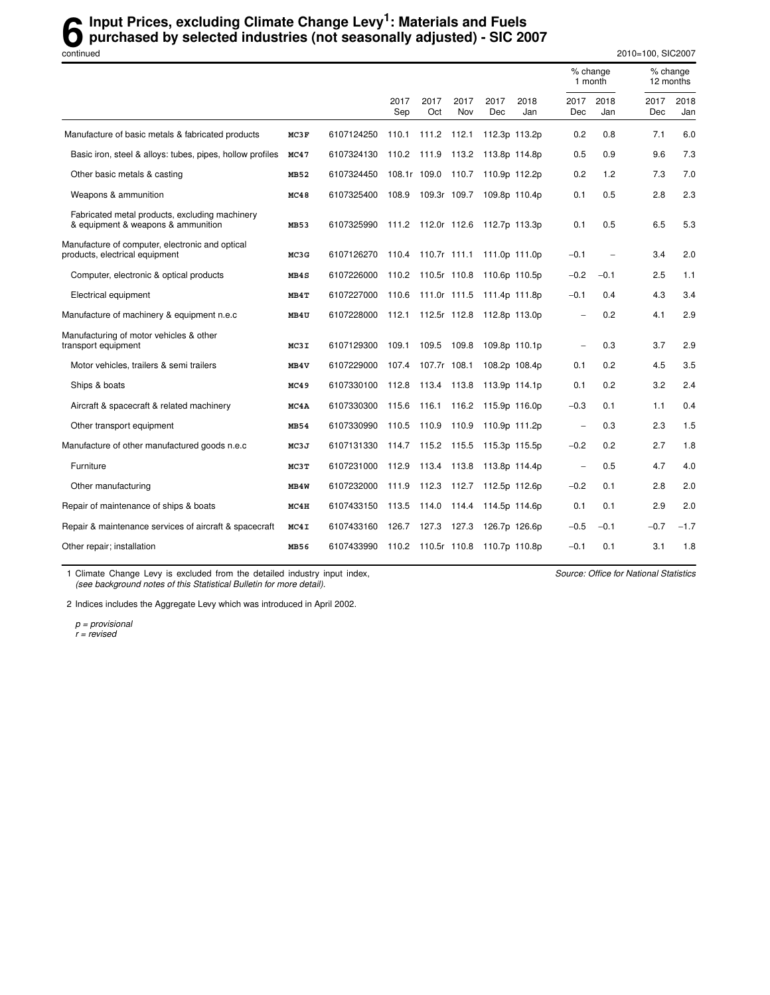#### **6** Input Prices, excluding Climate Change Levy<sup>1</sup>: Materials and Fuels<br>
purchased by selected industries (not seasonally adjusted) - SIC 20 **purchased by selected industries (not seasonally adjusted) - SIC 2007**

continued 2010=100, SIC2007

|                                                                                      |      |            |              |                    |             |                                  |               | % change<br>1 month      |             |             | % change<br>12 months |
|--------------------------------------------------------------------------------------|------|------------|--------------|--------------------|-------------|----------------------------------|---------------|--------------------------|-------------|-------------|-----------------------|
|                                                                                      |      |            | 2017<br>Sep  | 2017<br>Oct        | 2017<br>Nov | 2017<br>Dec                      | 2018<br>Jan   | 2017<br>Dec              | 2018<br>Jan | 2017<br>Dec | 2018<br>Jan           |
| Manufacture of basic metals & fabricated products                                    | MC3F | 6107124250 | 110.1        | 111.2              | 112.1       |                                  | 112.3p 113.2p | 0.2                      | 0.8         | 7.1         | 6.0                   |
| Basic iron, steel & alloys: tubes, pipes, hollow profiles                            | MC47 | 6107324130 | 110.2 111.9  |                    | 113.2       | 113.8p 114.8p                    |               | 0.5                      | 0.9         | 9.6         | 7.3                   |
| Other basic metals & casting                                                         | MB52 | 6107324450 | 108.1r 109.0 |                    | 110.7       | 110.9p 112.2p                    |               | 0.2                      | 1.2         | 7.3         | 7.0                   |
| Weapons & ammunition                                                                 | MC48 | 6107325400 |              | 108.9 109.3r 109.7 |             | 109.8p 110.4p                    |               | 0.1                      | 0.5         | 2.8         | 2.3                   |
| Fabricated metal products, excluding machinery<br>& equipment & weapons & ammunition | MB53 | 6107325990 |              |                    |             | 111.2 112.0r 112.6 112.7p 113.3p |               | 0.1                      | 0.5         | 6.5         | 5.3                   |
| Manufacture of computer, electronic and optical<br>products, electrical equipment    | MC3G | 6107126270 |              |                    |             | 110.4 110.7r 111.1 111.0p 111.0p |               | $-0.1$                   |             | 3.4         | 2.0                   |
| Computer, electronic & optical products                                              | MB4S | 6107226000 |              | 110.2 110.5r 110.8 |             | 110.6p 110.5p                    |               | $-0.2$                   | $-0.1$      | 2.5         | 1.1                   |
| Electrical equipment                                                                 | MB4T | 6107227000 |              |                    |             | 110.6 111.0r 111.5 111.4p 111.8p |               | $-0.1$                   | 0.4         | 4.3         | 3.4                   |
| Manufacture of machinery & equipment n.e.c                                           | MB4U | 6107228000 | 112.1        | 112.5r 112.8       |             | 112.8p 113.0p                    |               |                          | 0.2         | 4.1         | 2.9                   |
| Manufacturing of motor vehicles & other<br>transport equipment                       | MC3I | 6107129300 | 109.1        | 109.5              | 109.8       |                                  | 109.8p 110.1p | ۰                        | 0.3         | 3.7         | 2.9                   |
| Motor vehicles, trailers & semi trailers                                             | MB4V | 6107229000 | 107.4        | 107.7r 108.1       |             |                                  | 108.2p 108.4p | 0.1                      | 0.2         | 4.5         | 3.5                   |
| Ships & boats                                                                        | MC49 | 6107330100 | 112.8        | 113.4 113.8        |             | 113.9p 114.1p                    |               | 0.1                      | 0.2         | 3.2         | 2.4                   |
| Aircraft & spacecraft & related machinery                                            | MC4A | 6107330300 | 115.6        | 116.1              | 116.2       | 115.9p 116.0p                    |               | $-0.3$                   | 0.1         | 1.1         | 0.4                   |
| Other transport equipment                                                            | MB54 | 6107330990 | 110.5        | 110.9              | 110.9       | 110.9p 111.2p                    |               | $\overline{\phantom{a}}$ | 0.3         | 2.3         | 1.5                   |
| Manufacture of other manufactured goods n.e.c                                        | MC3J | 6107131330 | 114.7        | 115.2              | 115.5       |                                  | 115.3p 115.5p | $-0.2$                   | 0.2         | 2.7         | 1.8                   |
| Furniture                                                                            | MC3T | 6107231000 | 112.9        | 113.4 113.8        |             | 113.8p 114.4p                    |               | $\overline{\phantom{0}}$ | 0.5         | 4.7         | 4.0                   |
| Other manufacturing                                                                  | MB4W | 6107232000 | 111.9        | 112.3              | 112.7       | 112.5p 112.6p                    |               | $-0.2$                   | 0.1         | 2.8         | 2.0                   |
| Repair of maintenance of ships & boats                                               | MC4H | 6107433150 | 113.5        | 114.0              | 114.4       | 114.5p 114.6p                    |               | 0.1                      | 0.1         | 2.9         | 2.0                   |
| Repair & maintenance services of aircraft & spacecraft                               | MC4I | 6107433160 | 126.7        | 127.3              | 127.3       |                                  | 126.7p 126.6p | $-0.5$                   | $-0.1$      | $-0.7$      | $-1.7$                |
| Other repair; installation                                                           | MB56 | 6107433990 |              |                    |             | 110.2 110.5r 110.8 110.7p 110.8p |               | $-0.1$                   | 0.1         | 3.1         | 1.8                   |

1 Climate Change Levy is excluded from the detailed industry input index, (see background notes of this Statistical Bulletin for more detail).

Source: Office for National Statistics

2 Indices includes the Aggregate Levy which was introduced in April 2002.

p = provisional r = revised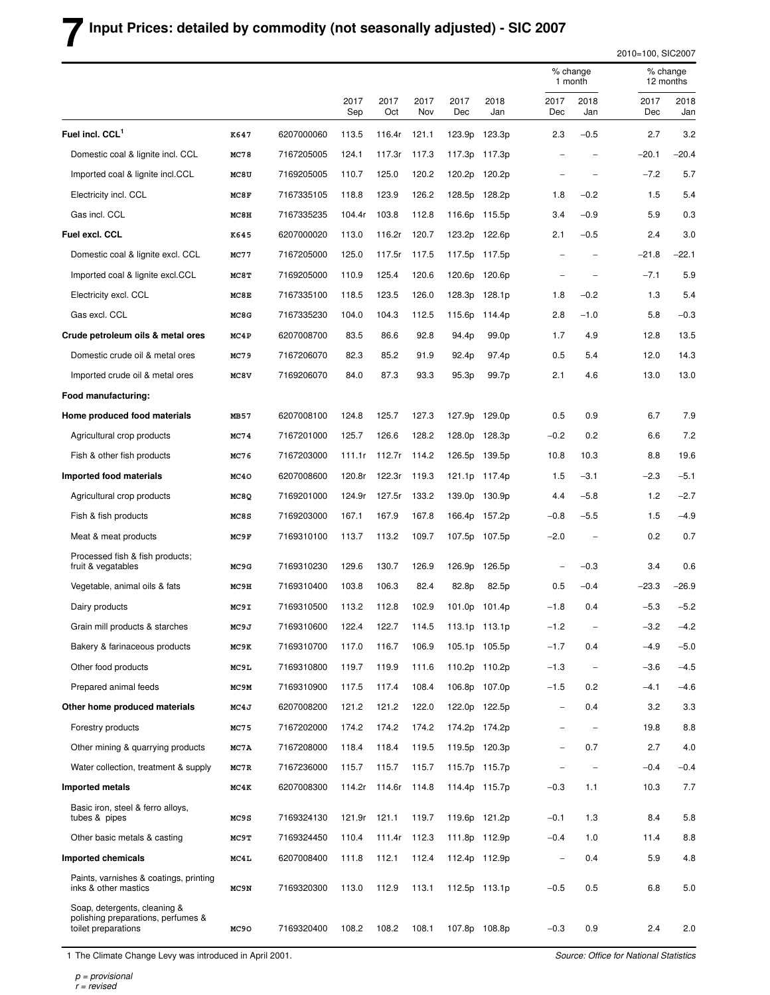# **7 Input Prices: detailed by commodity (not seasonally adjusted) - SIC 2007**

2010=100, SIC2007

|                                                                                           |             |            |             |             |             |                    |               |                          | % change<br>1 month      |             | % change<br>12 months |  |
|-------------------------------------------------------------------------------------------|-------------|------------|-------------|-------------|-------------|--------------------|---------------|--------------------------|--------------------------|-------------|-----------------------|--|
|                                                                                           |             |            | 2017<br>Sep | 2017<br>Oct | 2017<br>Nov | 2017<br>Dec        | 2018<br>Jan   | 2017<br>Dec              | 2018<br>Jan              | 2017<br>Dec | 2018<br>Jan           |  |
| Fuel incl. CCL <sup>1</sup>                                                               | K647        | 6207000060 | 113.5       | 116.4r      | 121.1       | 123.9p             | 123.3p        | 2.3                      | $-0.5$                   | 2.7         | 3.2                   |  |
| Domestic coal & lignite incl. CCL                                                         | <b>MC78</b> | 7167205005 | 124.1       | 117.3r      | 117.3       | 117.3p             | 117.3p        |                          |                          | $-20.1$     | $-20.4$               |  |
| Imported coal & lignite incl.CCL                                                          | MC8U        | 7169205005 | 110.7       | 125.0       | 120.2       | 120.2p             | 120.2p        |                          |                          | $-7.2$      | 5.7                   |  |
| Electricity incl. CCL                                                                     | MC8F        | 7167335105 | 118.8       | 123.9       | 126.2       | 128.5p             | 128.2p        | 1.8                      | $-0.2$                   | 1.5         | 5.4                   |  |
| Gas incl. CCL                                                                             | MC8H        | 7167335235 | 104.4r      | 103.8       | 112.8       | 116.6p             | 115.5p        | 3.4                      | $-0.9$                   | 5.9         | 0.3                   |  |
| Fuel excl. CCL                                                                            | K645        | 6207000020 | 113.0       | 116.2r      | 120.7       | 123.2p             | 122.6p        | 2.1                      | $-0.5$                   | 2.4         | 3.0                   |  |
| Domestic coal & lignite excl. CCL                                                         | MC77        | 7167205000 | 125.0       | 117.5r      | 117.5       | 117.5p             | 117.5p        |                          |                          | $-21.8$     | $-22.1$               |  |
| Imported coal & lignite excl.CCL                                                          | MC8T        | 7169205000 | 110.9       | 125.4       | 120.6       | 120.6p             | 120.6p        | ÷,                       | $\overline{\phantom{0}}$ | $-7.1$      | 5.9                   |  |
| Electricity excl. CCL                                                                     | MC8E        | 7167335100 | 118.5       | 123.5       | 126.0       | 128.3p             | 128.1p        | 1.8                      | $-0.2$                   | 1.3         | 5.4                   |  |
| Gas excl. CCL                                                                             | MC8G        | 7167335230 | 104.0       | 104.3       | 112.5       | 115.6 <sub>p</sub> | 114.4p        | 2.8                      | $-1.0$                   | 5.8         | $-0.3$                |  |
| Crude petroleum oils & metal ores                                                         | MC4P        | 6207008700 | 83.5        | 86.6        | 92.8        | 94.4p              | 99.0p         | 1.7                      | 4.9                      | 12.8        | 13.5                  |  |
| Domestic crude oil & metal ores                                                           | MC79        | 7167206070 | 82.3        | 85.2        | 91.9        | 92.4p              | 97.4p         | 0.5                      | 5.4                      | 12.0        | 14.3                  |  |
| Imported crude oil & metal ores                                                           | MC8V        | 7169206070 | 84.0        | 87.3        | 93.3        | 95.3p              | 99.7p         | 2.1                      | 4.6                      | 13.0        | 13.0                  |  |
| Food manufacturing:                                                                       |             |            |             |             |             |                    |               |                          |                          |             |                       |  |
| Home produced food materials                                                              | MB57        | 6207008100 | 124.8       | 125.7       | 127.3       | 127.9p             | 129.0p        | 0.5                      | 0.9                      | 6.7         | 7.9                   |  |
| Agricultural crop products                                                                | MC74        | 7167201000 | 125.7       | 126.6       | 128.2       | 128.0p             | 128.3p        | $-0.2$                   | 0.2                      | 6.6         | 7.2                   |  |
| Fish & other fish products                                                                | MC76        | 7167203000 | 111.1r      | 112.7r      | 114.2       | 126.5p             | 139.5p        | 10.8                     | 10.3                     | 8.8         | 19.6                  |  |
| Imported food materials                                                                   | MC40        | 6207008600 | 120.8r      | 122.3r      | 119.3       |                    | 121.1p 117.4p | 1.5                      | $-3.1$                   | $-2.3$      | $-5.1$                |  |
| Agricultural crop products                                                                | MC8Q        | 7169201000 | 124.9r      | 127.5r      | 133.2       | 139.0p             | 130.9p        | 4.4                      | $-5.8$                   | 1.2         | $-2.7$                |  |
| Fish & fish products                                                                      | MC8S        | 7169203000 | 167.1       | 167.9       | 167.8       | 166.4p             | 157.2p        | $-0.8$                   | $-5.5$                   | 1.5         | $-4.9$                |  |
| Meat & meat products                                                                      | MC9F        | 7169310100 | 113.7       | 113.2       | 109.7       |                    | 107.5p 107.5p | $-2.0$                   | $\overline{\phantom{a}}$ | 0.2         | 0.7                   |  |
| Processed fish & fish products;<br>fruit & vegatables                                     | MC9G        | 7169310230 | 129.6       | 130.7       | 126.9       | 126.9p             | 126.5p        |                          | $-0.3$                   | 3.4         | 0.6                   |  |
| Vegetable, animal oils & fats                                                             | MC9H        | 7169310400 | 103.8       | 106.3       | 82.4        | 82.8p              | 82.5p         | 0.5                      | $-0.4$                   | $-23.3$     | $-26.9$               |  |
| Dairy products                                                                            | MC9I        | 7169310500 | 113.2       | 112.8       | 102.9       | 101.0p             | 101.4p        | $-1.8$                   | 0.4                      | $-5.3$      | $-5.2$                |  |
| Grain mill products & starches                                                            | MC9J        | 7169310600 | 122.4       | 122.7       | 114.5       |                    | 113.1p 113.1p | $-1.2$                   |                          | $-3.2$      | $-4.2$                |  |
| Bakery & farinaceous products                                                             | MC9K        | 7169310700 | 117.0       | 116.7       | 106.9       |                    | 105.1p 105.5p | $-1.7$                   | 0.4                      | $-4.9$      | $-5.0$                |  |
| Other food products                                                                       | MC9L        | 7169310800 | 119.7       | 119.9       | 111.6       |                    | 110.2p 110.2p | $-1.3$                   | $\overline{\phantom{a}}$ | $-3.6$      | $-4.5$                |  |
| Prepared animal feeds                                                                     | MC9M        | 7169310900 | 117.5       | 117.4       | 108.4       |                    | 106.8p 107.0p | $-1.5$                   | 0.2                      | $-4.1$      | $-4.6$                |  |
| Other home produced materials                                                             | MC4J        | 6207008200 | 121.2       | 121.2       | 122.0       |                    | 122.0p 122.5p | $\qquad \qquad -$        | 0.4                      | 3.2         | $3.3\,$               |  |
| Forestry products                                                                         | MC75        | 7167202000 | 174.2       | 174.2       | 174.2       |                    | 174.2p 174.2p |                          | $\overline{\phantom{a}}$ | 19.8        | 8.8                   |  |
| Other mining & quarrying products                                                         | MC7A        | 7167208000 | 118.4       | 118.4       | 119.5       |                    | 119.5p 120.3p | $\overline{\phantom{0}}$ | 0.7                      | 2.7         | 4.0                   |  |
| Water collection, treatment & supply                                                      | MC7R        | 7167236000 | 115.7       | 115.7       | 115.7       |                    | 115.7p 115.7p |                          | $\overline{\phantom{0}}$ | $-0.4$      | $-0.4$                |  |
| Imported metals                                                                           | MC4K        | 6207008300 | 114.2r      | 114.6r      | 114.8       |                    | 114.4p 115.7p | $-0.3$                   | 1.1                      | 10.3        | 7.7                   |  |
| Basic iron, steel & ferro alloys,<br>tubes & pipes                                        | MC9S        | 7169324130 | 121.9r      | 121.1       | 119.7       |                    | 119.6p 121.2p | $-0.1$                   | 1.3                      | 8.4         | 5.8                   |  |
| Other basic metals & casting                                                              | MC9T        | 7169324450 | 110.4       | 111.4r      | 112.3       |                    | 111.8p 112.9p | $-0.4$                   | 1.0                      | 11.4        | 8.8                   |  |
| Imported chemicals                                                                        | MC4L        | 6207008400 | 111.8       | 112.1       | 112.4       |                    | 112.4p 112.9p | $\qquad \qquad -$        | 0.4                      | 5.9         | 4.8                   |  |
| Paints, varnishes & coatings, printing<br>inks & other mastics                            | MC9N        | 7169320300 | 113.0       | 112.9       | 113.1       |                    | 112.5p 113.1p | $-0.5$                   | 0.5                      | 6.8         | 5.0                   |  |
| Soap, detergents, cleaning &<br>polishing preparations, perfumes &<br>toilet preparations | MC90        | 7169320400 | 108.2       | 108.2       | 108.1       |                    | 107.8p 108.8p | $-0.3$                   | 0.9                      | 2.4         | 2.0                   |  |

1 The Climate Change Levy was introduced in April 2001.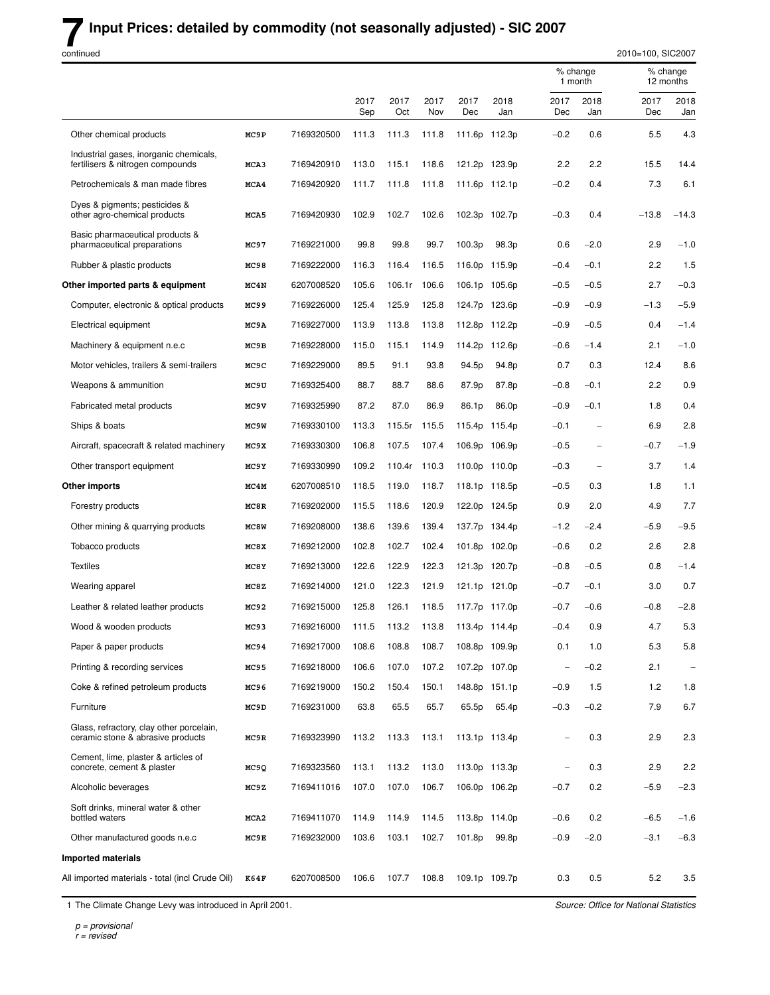# **7** Input Prices: detailed by commodity (not seasonally adjusted) - SIC 2007

| continued                                                                     |                  |            |             |             |             |             |                   |                          |                     | 2010=100, SIC2007 |                       |  |
|-------------------------------------------------------------------------------|------------------|------------|-------------|-------------|-------------|-------------|-------------------|--------------------------|---------------------|-------------------|-----------------------|--|
|                                                                               |                  |            |             |             |             |             |                   |                          | % change<br>1 month |                   | % change<br>12 months |  |
|                                                                               |                  |            | 2017<br>Sep | 2017<br>Oct | 2017<br>Nov | 2017<br>Dec | 2018<br>Jan       | 2017<br>Dec              | 2018<br>Jan         | 2017<br>Dec       | 2018<br>Jan           |  |
| Other chemical products                                                       | MC9P             | 7169320500 | 111.3       | 111.3       | 111.8       |             | 111.6p 112.3p     | $-0.2$                   | 0.6                 | 5.5               | 4.3                   |  |
| Industrial gases, inorganic chemicals,<br>fertilisers & nitrogen compounds    | MCA3             | 7169420910 | 113.0       | 115.1       | 118.6       |             | 121.2p 123.9p     | 2.2                      | 2.2                 | 15.5              | 14.4                  |  |
| Petrochemicals & man made fibres                                              | MCA4             | 7169420920 | 111.7       | 111.8       | 111.8       |             | 111.6p 112.1p     | $-0.2$                   | 0.4                 | 7.3               | 6.1                   |  |
| Dyes & pigments; pesticides &<br>other agro-chemical products                 | MCA5             | 7169420930 | 102.9       | 102.7       | 102.6       |             | 102.3p 102.7p     | $-0.3$                   | 0.4                 | $-13.8$           | $-14.3$               |  |
| Basic pharmaceutical products &<br>pharmaceutical preparations                | MC97             | 7169221000 | 99.8        | 99.8        | 99.7        | 100.3p      | 98.3p             | 0.6                      | $-2.0$              | 2.9               | $-1.0$                |  |
| Rubber & plastic products                                                     | MC98             | 7169222000 | 116.3       | 116.4       | 116.5       |             | 116.0p 115.9p     | $-0.4$                   | $-0.1$              | 2.2               | 1.5                   |  |
| Other imported parts & equipment                                              | MC4N             | 6207008520 | 105.6       | 106.1r      | 106.6       | 106.1p      | 105.6p            | $-0.5$                   | $-0.5$              | 2.7               | $-0.3$                |  |
| Computer, electronic & optical products                                       | MC99             | 7169226000 | 125.4       | 125.9       | 125.8       |             | 124.7p 123.6p     | -0.9                     | $-0.9$              | $-1.3$            | $-5.9$                |  |
| Electrical equipment                                                          | MC9A             | 7169227000 | 113.9       | 113.8       | 113.8       |             | 112.8p 112.2p     | -0.9                     | $-0.5$              | 0.4               | $-1.4$                |  |
| Machinery & equipment n.e.c                                                   | MC9B             | 7169228000 | 115.0       | 115.1       | 114.9       | 114.2p      | 112.6p            | -0.6                     | $-1.4$              | 2.1               | $-1.0$                |  |
| Motor vehicles, trailers & semi-trailers                                      | MC9C             | 7169229000 | 89.5        | 91.1        | 93.8        | 94.5p       | 94.8p             | 0.7                      | 0.3                 | 12.4              | 8.6                   |  |
| Weapons & ammunition                                                          | MC9U             | 7169325400 | 88.7        | 88.7        | 88.6        | 87.9p       | 87.8p             | $-0.8$                   | $-0.1$              | 2.2               | 0.9                   |  |
| Fabricated metal products                                                     | MC9V             | 7169325990 | 87.2        | 87.0        | 86.9        | 86.1p       | 86.0 <sub>p</sub> | $-0.9$                   | $-0.1$              | 1.8               | 0.4                   |  |
| Ships & boats                                                                 | MC9W             | 7169330100 | 113.3       | 115.5r      | 115.5       |             | 115.4p 115.4p     | $-0.1$                   |                     | 6.9               | 2.8                   |  |
| Aircraft, spacecraft & related machinery                                      | MC9X             | 7169330300 | 106.8       | 107.5       | 107.4       |             | 106.9p 106.9p     | $-0.5$                   |                     | $-0.7$            | $-1.9$                |  |
| Other transport equipment                                                     | MC9Y             | 7169330990 | 109.2       | 110.4r      | 110.3       |             | 110.0p 110.0p     | $-0.3$                   |                     | 3.7               | 1.4                   |  |
| Other imports                                                                 | MC4M             | 6207008510 | 118.5       | 119.0       | 118.7       |             | 118.1p 118.5p     | $-0.5$                   | 0.3                 | 1.8               | 1.1                   |  |
| Forestry products                                                             | MC8R             | 7169202000 | 115.5       | 118.6       | 120.9       |             | 122.0p 124.5p     | 0.9                      | 2.0                 | 4.9               | 7.7                   |  |
| Other mining & quarrying products                                             | MC8W             | 7169208000 | 138.6       | 139.6       | 139.4       | 137.7p      | 134.4p            | $-1.2$                   | $-2.4$              | $-5.9$            | $-9.5$                |  |
| Tobacco products                                                              | MC8X             | 7169212000 | 102.8       | 102.7       | 102.4       |             | 101.8p 102.0p     | $-0.6$                   | 0.2                 | 2.6               | 2.8                   |  |
| <b>Textiles</b>                                                               | MC8Y             | 7169213000 | 122.6       | 122.9       | 122.3       |             | 121.3p 120.7p     | $-0.8$                   | $-0.5$              | 0.8               | $-1.4$                |  |
| Wearing apparel                                                               | MC8Z             | 7169214000 | 121.0       | 122.3       | 121.9       | 121.1p      | 121.0p            | $-0.7$                   | $-0.1$              | 3.0               | 0.7                   |  |
| Leather & related leather products                                            | MC92             | 7169215000 | 125.8       | 126.1       | 118.5       |             | 117.7p 117.0p     | $-0.7$                   | $-0.6$              | $-0.8$            | $-2.8$                |  |
| Wood & wooden products                                                        | MC93             | 7169216000 | 111.5       | 113.2       | 113.8       |             | 113.4p 114.4p     | $-0.4$                   | 0.9                 | 4.7               | 5.3                   |  |
| Paper & paper products                                                        | MC94             | 7169217000 | 108.6       | 108.8       | 108.7       |             | 108.8p 109.9p     | 0.1                      | 1.0                 | 5.3               | 5.8                   |  |
| Printing & recording services                                                 | MC95             | 7169218000 | 106.6       | 107.0       | 107.2       |             | 107.2p 107.0p     | $\overline{\phantom{0}}$ | $-0.2$              | 2.1               | $\qquad \qquad -$     |  |
| Coke & refined petroleum products                                             | MC96             | 7169219000 | 150.2       | 150.4       | 150.1       |             | 148.8p 151.1p     | -0.9                     | 1.5                 | 1.2               | 1.8                   |  |
| Furniture                                                                     | MC9D             | 7169231000 | 63.8        | 65.5        | 65.7        | 65.5p       | 65.4p             | $-0.3$                   | $-0.2$              | 7.9               | 6.7                   |  |
| Glass, refractory, clay other porcelain,<br>ceramic stone & abrasive products | MC9R             | 7169323990 | 113.2       | 113.3       | 113.1       |             | 113.1p 113.4p     | $\overline{\phantom{0}}$ | 0.3                 | 2.9               | 2.3                   |  |
| Cement, lime, plaster & articles of<br>concrete, cement & plaster             | MC9Q             | 7169323560 | 113.1       | 113.2       | 113.0       |             | 113.0p 113.3p     | $\overline{\phantom{0}}$ | 0.3                 | 2.9               | 2.2                   |  |
| Alcoholic beverages                                                           | MC9Z             | 7169411016 | 107.0       | 107.0       | 106.7       |             | 106.0p 106.2p     | $-0.7$                   | 0.2                 | -5.9              | $-2.3$                |  |
| Soft drinks, mineral water & other<br>bottled waters                          | MCA <sub>2</sub> | 7169411070 | 114.9       | 114.9       | 114.5       |             | 113.8p 114.0p     | $-0.6$                   | 0.2                 | $-6.5$            | $-1.6$                |  |
| Other manufactured goods n.e.c                                                | MC9E             | 7169232000 | 103.6       | 103.1       | 102.7       | 101.8p      | 99.8p             | $-0.9$                   | $-2.0$              | $-3.1$            | $-6.3$                |  |
| <b>Imported materials</b>                                                     |                  |            |             |             |             |             |                   |                          |                     |                   |                       |  |
| All imported materials - total (incl Crude Oil)                               | K64F             | 6207008500 | 106.6       | 107.7       | 108.8       |             | 109.1p 109.7p     | 0.3                      | 0.5                 | 5.2               | 3.5                   |  |

1 The Climate Change Levy was introduced in April 2001.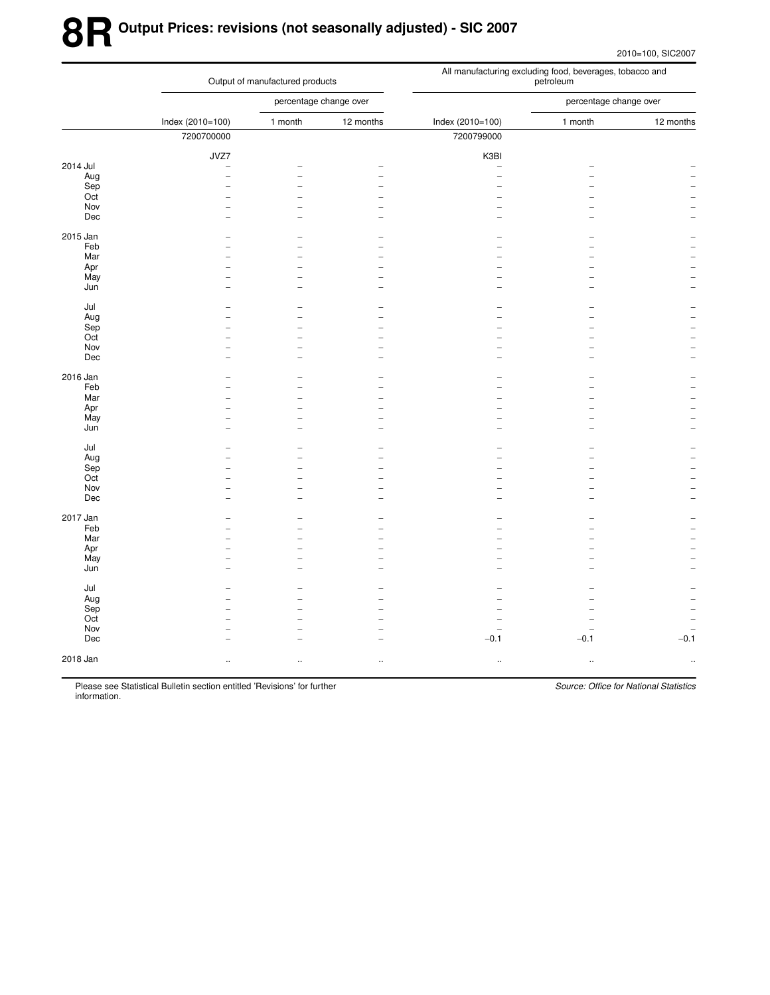# **8R Output Prices: revisions (not seasonally adjusted) - SIC 2007**

2010=100, SIC2007

|            |                  | Output of manufactured products                      |           | All manufacturing excluding food, beverages, tobacco and<br>petroleum |                                    |                                    |  |  |  |
|------------|------------------|------------------------------------------------------|-----------|-----------------------------------------------------------------------|------------------------------------|------------------------------------|--|--|--|
|            |                  | percentage change over                               |           |                                                                       | percentage change over             |                                    |  |  |  |
|            | Index (2010=100) | 1 month                                              | 12 months | Index (2010=100)                                                      | 1 month                            | 12 months                          |  |  |  |
|            | 7200700000       |                                                      |           | 7200799000                                                            |                                    |                                    |  |  |  |
|            | JVZ7             |                                                      |           | K3BI                                                                  |                                    |                                    |  |  |  |
| 2014 Jul   | ۰                |                                                      |           | $\overline{\phantom{a}}$                                              |                                    |                                    |  |  |  |
| Aug        | ۰                | $\overline{\phantom{a}}$                             |           | $\overline{a}$                                                        |                                    |                                    |  |  |  |
| Sep        |                  |                                                      |           |                                                                       |                                    |                                    |  |  |  |
| Oct<br>Nov |                  | $\overline{\phantom{a}}$<br>$\overline{\phantom{a}}$ |           |                                                                       |                                    |                                    |  |  |  |
| Dec        |                  | ÷                                                    |           |                                                                       |                                    |                                    |  |  |  |
|            |                  |                                                      |           |                                                                       |                                    |                                    |  |  |  |
| 2015 Jan   |                  |                                                      |           |                                                                       |                                    |                                    |  |  |  |
| Feb        |                  |                                                      |           |                                                                       |                                    |                                    |  |  |  |
| Mar        |                  |                                                      |           |                                                                       |                                    |                                    |  |  |  |
| Apr        |                  | $\overline{\phantom{0}}$                             |           |                                                                       |                                    |                                    |  |  |  |
| May        |                  | L.                                                   |           |                                                                       |                                    |                                    |  |  |  |
| Jun        |                  | ۳                                                    |           |                                                                       |                                    |                                    |  |  |  |
| Jul        |                  |                                                      |           |                                                                       |                                    |                                    |  |  |  |
| Aug        |                  |                                                      |           |                                                                       |                                    |                                    |  |  |  |
| Sep        |                  | L                                                    |           |                                                                       |                                    |                                    |  |  |  |
| Oct        |                  |                                                      |           |                                                                       |                                    |                                    |  |  |  |
| Nov        |                  | $\overline{\phantom{0}}$                             |           |                                                                       |                                    |                                    |  |  |  |
| Dec        |                  | ۳                                                    |           |                                                                       |                                    |                                    |  |  |  |
|            |                  |                                                      |           |                                                                       |                                    |                                    |  |  |  |
| 2016 Jan   |                  |                                                      |           |                                                                       |                                    |                                    |  |  |  |
| Feb        |                  | ۳                                                    |           |                                                                       |                                    |                                    |  |  |  |
| Mar        |                  |                                                      |           |                                                                       |                                    |                                    |  |  |  |
| Apr        |                  | ۳                                                    |           |                                                                       |                                    |                                    |  |  |  |
| May<br>Jun |                  | $\overline{\phantom{0}}$<br>۰                        |           |                                                                       |                                    |                                    |  |  |  |
|            |                  |                                                      |           |                                                                       |                                    |                                    |  |  |  |
| Jul        |                  |                                                      |           |                                                                       |                                    |                                    |  |  |  |
| Aug        |                  |                                                      |           |                                                                       |                                    |                                    |  |  |  |
| Sep        |                  |                                                      |           |                                                                       |                                    |                                    |  |  |  |
| Oct        |                  | $\overline{a}$                                       |           |                                                                       |                                    |                                    |  |  |  |
| Nov        |                  | ۳                                                    |           |                                                                       |                                    |                                    |  |  |  |
| Dec        |                  | $\overline{\phantom{0}}$                             |           |                                                                       |                                    |                                    |  |  |  |
| 2017 Jan   |                  |                                                      |           |                                                                       |                                    |                                    |  |  |  |
| Feb        |                  |                                                      |           |                                                                       |                                    |                                    |  |  |  |
| Mar        |                  | L.                                                   |           |                                                                       |                                    |                                    |  |  |  |
| Apr        |                  |                                                      |           |                                                                       |                                    |                                    |  |  |  |
| May        | L.               | $\overline{\phantom{a}}$                             |           |                                                                       |                                    |                                    |  |  |  |
| Jun        |                  | ۰                                                    |           |                                                                       |                                    |                                    |  |  |  |
|            |                  |                                                      |           |                                                                       |                                    |                                    |  |  |  |
| Jul        |                  |                                                      |           |                                                                       |                                    |                                    |  |  |  |
| Aug        |                  | ۳                                                    |           |                                                                       |                                    |                                    |  |  |  |
| Sep        |                  |                                                      |           |                                                                       |                                    |                                    |  |  |  |
| Oct<br>Nov |                  | $\overline{\phantom{0}}$<br>-                        |           |                                                                       |                                    |                                    |  |  |  |
| Dec        |                  |                                                      |           | $\overline{\phantom{0}}$<br>$-0.1$                                    | $\overline{\phantom{0}}$<br>$-0.1$ | $\overline{\phantom{a}}$<br>$-0.1$ |  |  |  |
|            |                  |                                                      |           |                                                                       |                                    |                                    |  |  |  |
| 2018 Jan   |                  | $\ddot{\phantom{a}}$                                 | $\ddotsc$ | $\cdot$                                                               | $\ddotsc$                          |                                    |  |  |  |
|            |                  |                                                      |           |                                                                       |                                    |                                    |  |  |  |
|            |                  |                                                      |           |                                                                       |                                    |                                    |  |  |  |

Please see Statistical Bulletin section entitled 'Revisions' for further information.